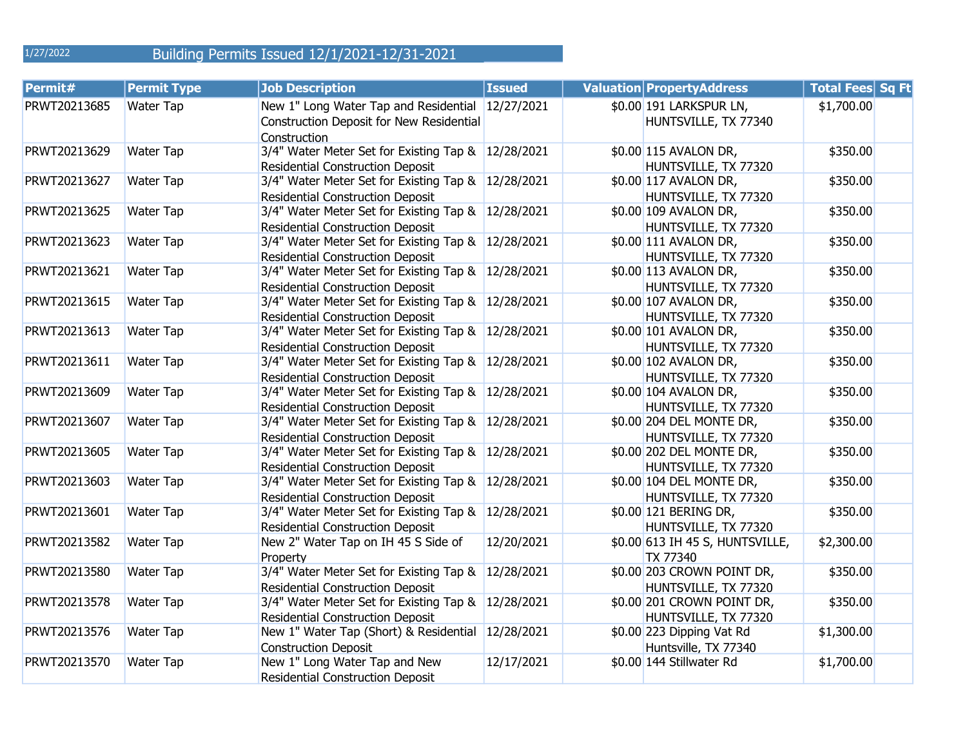1/27/2022

# Building Permits Issued 12/1/2021-12/31-2021

| Permit#      | <b>Permit Type</b> | <b>Job Description</b>                                                                                       | <b>Issued</b> | <b>Valuation Property Address</b>                  | <b>Total Fees Sq Ft</b> |  |
|--------------|--------------------|--------------------------------------------------------------------------------------------------------------|---------------|----------------------------------------------------|-------------------------|--|
| PRWT20213685 | Water Tap          | New 1" Long Water Tap and Residential 12/27/2021<br>Construction Deposit for New Residential<br>Construction |               | \$0.00 191 LARKSPUR LN,<br>HUNTSVILLE, TX 77340    | \$1,700.00              |  |
| PRWT20213629 | Water Tap          | 3/4" Water Meter Set for Existing Tap & 12/28/2021<br><b>Residential Construction Deposit</b>                |               | \$0.00 115 AVALON DR,<br>HUNTSVILLE, TX 77320      | \$350.00                |  |
| PRWT20213627 | Water Tap          | 3/4" Water Meter Set for Existing Tap & 12/28/2021<br><b>Residential Construction Deposit</b>                |               | \$0.00 117 AVALON DR,<br>HUNTSVILLE, TX 77320      | \$350.00                |  |
| PRWT20213625 | Water Tap          | 3/4" Water Meter Set for Existing Tap & 12/28/2021<br><b>Residential Construction Deposit</b>                |               | \$0.00 109 AVALON DR,<br>HUNTSVILLE, TX 77320      | \$350.00                |  |
| PRWT20213623 | Water Tap          | 3/4" Water Meter Set for Existing Tap & 12/28/2021<br><b>Residential Construction Deposit</b>                |               | \$0.00 111 AVALON DR,<br>HUNTSVILLE, TX 77320      | \$350.00                |  |
| PRWT20213621 | Water Tap          | 3/4" Water Meter Set for Existing Tap & 12/28/2021<br><b>Residential Construction Deposit</b>                |               | \$0.00 113 AVALON DR,<br>HUNTSVILLE, TX 77320      | \$350.00                |  |
| PRWT20213615 | Water Tap          | 3/4" Water Meter Set for Existing Tap & 12/28/2021<br><b>Residential Construction Deposit</b>                |               | \$0.00 107 AVALON DR,<br>HUNTSVILLE, TX 77320      | \$350.00                |  |
| PRWT20213613 | Water Tap          | 3/4" Water Meter Set for Existing Tap & 12/28/2021<br><b>Residential Construction Deposit</b>                |               | \$0.00 101 AVALON DR,<br>HUNTSVILLE, TX 77320      | \$350.00                |  |
| PRWT20213611 | Water Tap          | 3/4" Water Meter Set for Existing Tap & 12/28/2021<br><b>Residential Construction Deposit</b>                |               | \$0.00 102 AVALON DR,<br>HUNTSVILLE, TX 77320      | \$350.00                |  |
| PRWT20213609 | Water Tap          | 3/4" Water Meter Set for Existing Tap & 12/28/2021<br><b>Residential Construction Deposit</b>                |               | \$0.00 104 AVALON DR,<br>HUNTSVILLE, TX 77320      | \$350.00                |  |
| PRWT20213607 | Water Tap          | 3/4" Water Meter Set for Existing Tap & 12/28/2021<br><b>Residential Construction Deposit</b>                |               | \$0.00 204 DEL MONTE DR,<br>HUNTSVILLE, TX 77320   | \$350.00                |  |
| PRWT20213605 | Water Tap          | 3/4" Water Meter Set for Existing Tap &<br><b>Residential Construction Deposit</b>                           | 12/28/2021    | \$0.00 202 DEL MONTE DR,<br>HUNTSVILLE, TX 77320   | \$350.00                |  |
| PRWT20213603 | Water Tap          | 3/4" Water Meter Set for Existing Tap & 12/28/2021<br><b>Residential Construction Deposit</b>                |               | \$0.00 104 DEL MONTE DR,<br>HUNTSVILLE, TX 77320   | \$350.00                |  |
| PRWT20213601 | Water Tap          | 3/4" Water Meter Set for Existing Tap &<br><b>Residential Construction Deposit</b>                           | 12/28/2021    | \$0.00 121 BERING DR,<br>HUNTSVILLE, TX 77320      | \$350.00                |  |
| PRWT20213582 | <b>Water Tap</b>   | New 2" Water Tap on IH 45 S Side of<br>Property                                                              | 12/20/2021    | \$0.00 613 IH 45 S, HUNTSVILLE,<br>TX 77340        | \$2,300.00              |  |
| PRWT20213580 | Water Tap          | 3/4" Water Meter Set for Existing Tap &<br><b>Residential Construction Deposit</b>                           | 12/28/2021    | \$0.00 203 CROWN POINT DR,<br>HUNTSVILLE, TX 77320 | \$350.00                |  |
| PRWT20213578 | <b>Water Tap</b>   | 3/4" Water Meter Set for Existing Tap & 12/28/2021<br><b>Residential Construction Deposit</b>                |               | \$0.00 201 CROWN POINT DR,<br>HUNTSVILLE, TX 77320 | \$350.00                |  |
| PRWT20213576 | <b>Water Tap</b>   | New 1" Water Tap (Short) & Residential<br><b>Construction Deposit</b>                                        | 12/28/2021    | \$0.00 223 Dipping Vat Rd<br>Huntsville, TX 77340  | \$1,300.00              |  |
| PRWT20213570 | Water Tap          | New 1" Long Water Tap and New<br><b>Residential Construction Deposit</b>                                     | 12/17/2021    | \$0.00 144 Stillwater Rd                           | \$1,700.00              |  |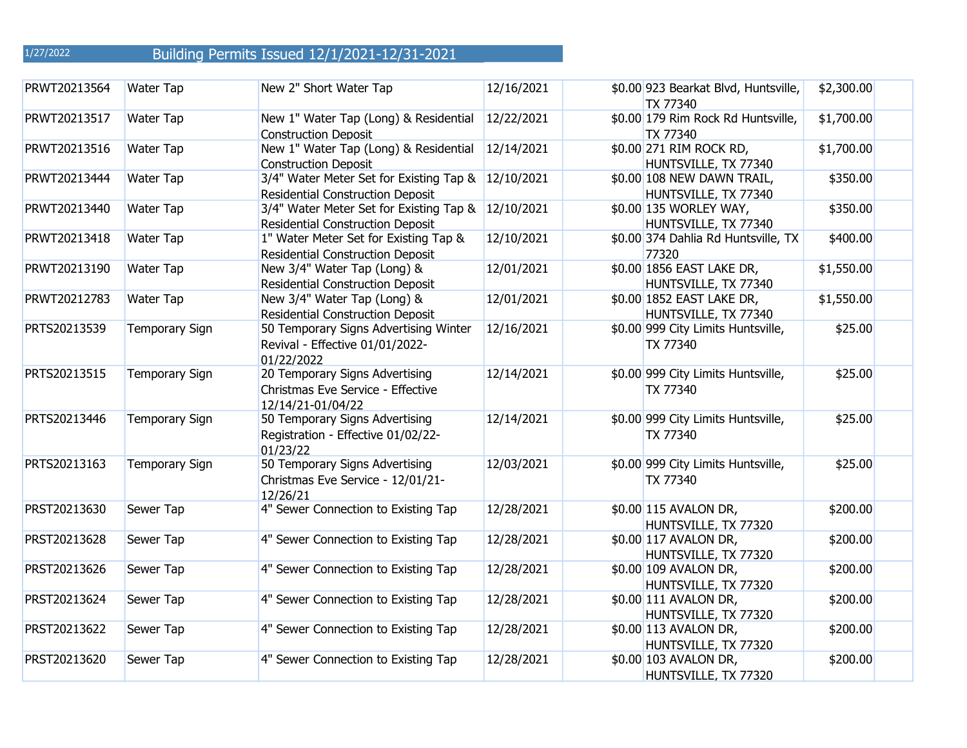| PRWT20213564 | Water Tap             | New 2" Short Water Tap                                                                        | 12/16/2021 | \$0.00 923 Bearkat Blvd, Huntsville,<br>TX 77340   | \$2,300.00 |  |
|--------------|-----------------------|-----------------------------------------------------------------------------------------------|------------|----------------------------------------------------|------------|--|
| PRWT20213517 | Water Tap             | New 1" Water Tap (Long) & Residential<br><b>Construction Deposit</b>                          | 12/22/2021 | \$0.00 179 Rim Rock Rd Huntsville,<br>TX 77340     | \$1,700.00 |  |
| PRWT20213516 | Water Tap             | New 1" Water Tap (Long) & Residential<br><b>Construction Deposit</b>                          | 12/14/2021 | \$0.00 271 RIM ROCK RD,<br>HUNTSVILLE, TX 77340    | \$1,700.00 |  |
| PRWT20213444 | <b>Water Tap</b>      | 3/4" Water Meter Set for Existing Tap &<br><b>Residential Construction Deposit</b>            | 12/10/2021 | \$0.00 108 NEW DAWN TRAIL,<br>HUNTSVILLE, TX 77340 | \$350.00   |  |
| PRWT20213440 | <b>Water Tap</b>      | 3/4" Water Meter Set for Existing Tap & 12/10/2021<br><b>Residential Construction Deposit</b> |            | \$0.00 135 WORLEY WAY,<br>HUNTSVILLE, TX 77340     | \$350.00   |  |
| PRWT20213418 | <b>Water Tap</b>      | 1" Water Meter Set for Existing Tap &<br><b>Residential Construction Deposit</b>              | 12/10/2021 | \$0.00 374 Dahlia Rd Huntsville, TX<br>77320       | \$400.00   |  |
| PRWT20213190 | Water Tap             | New 3/4" Water Tap (Long) &<br><b>Residential Construction Deposit</b>                        | 12/01/2021 | \$0.00 1856 EAST LAKE DR,<br>HUNTSVILLE, TX 77340  | \$1,550.00 |  |
| PRWT20212783 | Water Tap             | New 3/4" Water Tap (Long) &<br><b>Residential Construction Deposit</b>                        | 12/01/2021 | \$0.00 1852 EAST LAKE DR,<br>HUNTSVILLE, TX 77340  | \$1,550.00 |  |
| PRTS20213539 | <b>Temporary Sign</b> | 50 Temporary Signs Advertising Winter<br>Revival - Effective 01/01/2022-<br>01/22/2022        | 12/16/2021 | \$0.00 999 City Limits Huntsville,<br>TX 77340     | \$25.00    |  |
| PRTS20213515 | <b>Temporary Sign</b> | 20 Temporary Signs Advertising<br>Christmas Eve Service - Effective<br>12/14/21-01/04/22      | 12/14/2021 | \$0.00 999 City Limits Huntsville,<br>TX 77340     | \$25.00    |  |
| PRTS20213446 | <b>Temporary Sign</b> | 50 Temporary Signs Advertising<br>Registration - Effective 01/02/22-<br>01/23/22              | 12/14/2021 | \$0.00 999 City Limits Huntsville,<br>TX 77340     | \$25.00    |  |
| PRTS20213163 | <b>Temporary Sign</b> | 50 Temporary Signs Advertising<br>Christmas Eve Service - 12/01/21-<br>12/26/21               | 12/03/2021 | \$0.00 999 City Limits Huntsville,<br>TX 77340     | \$25.00    |  |
| PRST20213630 | Sewer Tap             | 4" Sewer Connection to Existing Tap                                                           | 12/28/2021 | \$0.00 115 AVALON DR,<br>HUNTSVILLE, TX 77320      | \$200.00   |  |
| PRST20213628 | Sewer Tap             | 4" Sewer Connection to Existing Tap                                                           | 12/28/2021 | \$0.00 117 AVALON DR,<br>HUNTSVILLE, TX 77320      | \$200.00   |  |
| PRST20213626 | Sewer Tap             | 4" Sewer Connection to Existing Tap                                                           | 12/28/2021 | \$0.00 109 AVALON DR,<br>HUNTSVILLE, TX 77320      | \$200.00   |  |
| PRST20213624 | Sewer Tap             | 4" Sewer Connection to Existing Tap                                                           | 12/28/2021 | \$0.00 111 AVALON DR,<br>HUNTSVILLE, TX 77320      | \$200.00   |  |
| PRST20213622 | Sewer Tap             | 4" Sewer Connection to Existing Tap                                                           | 12/28/2021 | \$0.00 113 AVALON DR,<br>HUNTSVILLE, TX 77320      | \$200.00   |  |
| PRST20213620 | Sewer Tap             | 4" Sewer Connection to Existing Tap                                                           | 12/28/2021 | \$0.00 103 AVALON DR,<br>HUNTSVILLE, TX 77320      | \$200.00   |  |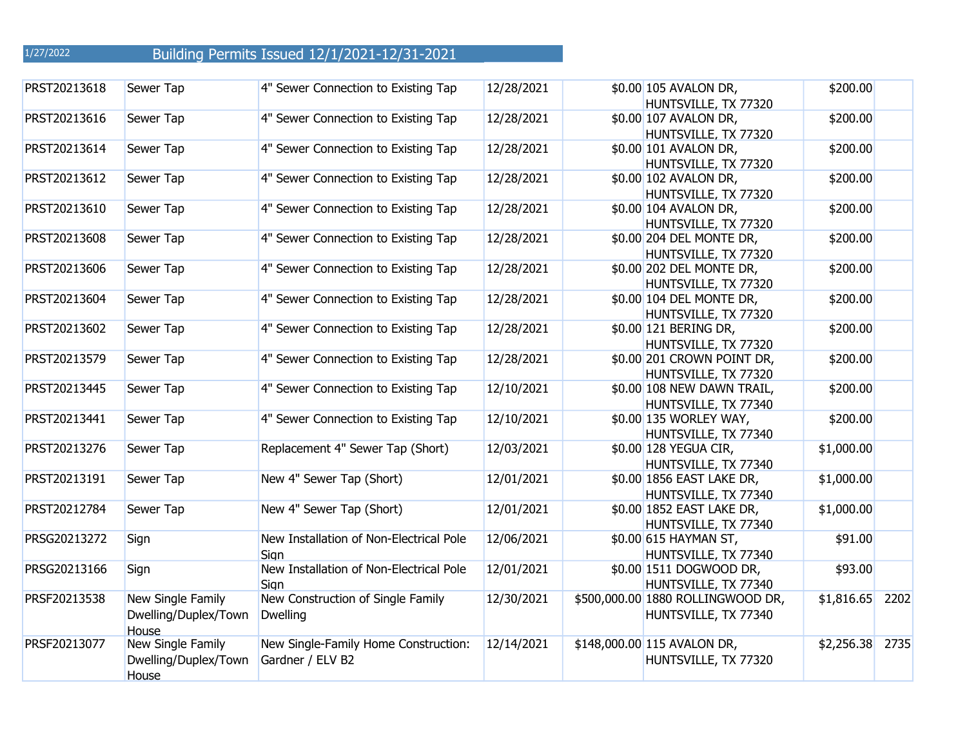| PRST20213618 | Sewer Tap            | 4" Sewer Connection to Existing Tap     | 12/28/2021 | \$0.00 105 AVALON DR,<br>HUNTSVILLE, TX 77320 | \$200.00   |      |
|--------------|----------------------|-----------------------------------------|------------|-----------------------------------------------|------------|------|
| PRST20213616 | Sewer Tap            | 4" Sewer Connection to Existing Tap     | 12/28/2021 | \$0.00 107 AVALON DR,                         | \$200.00   |      |
|              |                      |                                         |            |                                               |            |      |
| PRST20213614 | Sewer Tap            | 4" Sewer Connection to Existing Tap     | 12/28/2021 | HUNTSVILLE, TX 77320<br>\$0.00 101 AVALON DR, | \$200.00   |      |
|              |                      |                                         |            |                                               |            |      |
| PRST20213612 | Sewer Tap            | 4" Sewer Connection to Existing Tap     | 12/28/2021 | HUNTSVILLE, TX 77320<br>\$0.00 102 AVALON DR, | \$200.00   |      |
|              |                      |                                         |            |                                               |            |      |
|              |                      |                                         |            | HUNTSVILLE, TX 77320                          |            |      |
| PRST20213610 | Sewer Tap            | 4" Sewer Connection to Existing Tap     | 12/28/2021 | \$0.00 104 AVALON DR,                         | \$200.00   |      |
|              |                      |                                         |            | HUNTSVILLE, TX 77320                          |            |      |
| PRST20213608 | Sewer Tap            | 4" Sewer Connection to Existing Tap     | 12/28/2021 | \$0.00 204 DEL MONTE DR,                      | \$200.00   |      |
|              |                      |                                         |            | HUNTSVILLE, TX 77320                          |            |      |
| PRST20213606 | Sewer Tap            | 4" Sewer Connection to Existing Tap     | 12/28/2021 | \$0.00 202 DEL MONTE DR,                      | \$200.00   |      |
|              |                      |                                         |            | HUNTSVILLE, TX 77320                          |            |      |
| PRST20213604 | Sewer Tap            | 4" Sewer Connection to Existing Tap     | 12/28/2021 | \$0.00 104 DEL MONTE DR,                      | \$200.00   |      |
|              |                      |                                         |            | HUNTSVILLE, TX 77320                          |            |      |
| PRST20213602 | Sewer Tap            | 4" Sewer Connection to Existing Tap     | 12/28/2021 | \$0.00 121 BERING DR,                         | \$200.00   |      |
|              |                      |                                         |            | HUNTSVILLE, TX 77320                          |            |      |
| PRST20213579 | Sewer Tap            | 4" Sewer Connection to Existing Tap     | 12/28/2021 | \$0.00 201 CROWN POINT DR,                    | \$200.00   |      |
|              |                      |                                         |            | HUNTSVILLE, TX 77320                          |            |      |
| PRST20213445 | Sewer Tap            | 4" Sewer Connection to Existing Tap     | 12/10/2021 | \$0.00 108 NEW DAWN TRAIL,                    | \$200.00   |      |
|              |                      |                                         |            | HUNTSVILLE, TX 77340                          |            |      |
| PRST20213441 | Sewer Tap            | 4" Sewer Connection to Existing Tap     | 12/10/2021 | \$0.00 135 WORLEY WAY,                        | \$200.00   |      |
|              |                      |                                         |            | HUNTSVILLE, TX 77340                          |            |      |
| PRST20213276 | Sewer Tap            | Replacement 4" Sewer Tap (Short)        | 12/03/2021 | \$0.00 128 YEGUA CIR,                         | \$1,000.00 |      |
|              |                      |                                         |            | HUNTSVILLE, TX 77340                          |            |      |
| PRST20213191 | Sewer Tap            | New 4" Sewer Tap (Short)                | 12/01/2021 | \$0.00 1856 EAST LAKE DR,                     | \$1,000.00 |      |
|              |                      |                                         |            | HUNTSVILLE, TX 77340                          |            |      |
| PRST20212784 | Sewer Tap            | New 4" Sewer Tap (Short)                | 12/01/2021 | \$0.00 1852 EAST LAKE DR,                     | \$1,000.00 |      |
|              |                      |                                         |            | HUNTSVILLE, TX 77340                          |            |      |
| PRSG20213272 | Sign                 | New Installation of Non-Electrical Pole | 12/06/2021 | \$0.00 615 HAYMAN ST,                         | \$91.00    |      |
|              |                      | Sign                                    |            | HUNTSVILLE, TX 77340                          |            |      |
| PRSG20213166 | Sign                 | New Installation of Non-Electrical Pole | 12/01/2021 | \$0.00 1511 DOGWOOD DR,                       | \$93.00    |      |
|              |                      | Sign                                    |            | HUNTSVILLE, TX 77340                          |            |      |
|              |                      |                                         |            |                                               |            |      |
| PRSF20213538 | New Single Family    | New Construction of Single Family       | 12/30/2021 | \$500,000.00 1880 ROLLINGWOOD DR,             | \$1,816.65 | 2202 |
|              | Dwelling/Duplex/Town | <b>Dwelling</b>                         |            | HUNTSVILLE, TX 77340                          |            |      |
|              | House                |                                         |            |                                               |            |      |
| PRSF20213077 | New Single Family    | New Single-Family Home Construction:    | 12/14/2021 | \$148,000.00 115 AVALON DR,                   | \$2,256.38 | 2735 |
|              | Dwelling/Duplex/Town | Gardner / ELV B2                        |            | HUNTSVILLE, TX 77320                          |            |      |
|              | House                |                                         |            |                                               |            |      |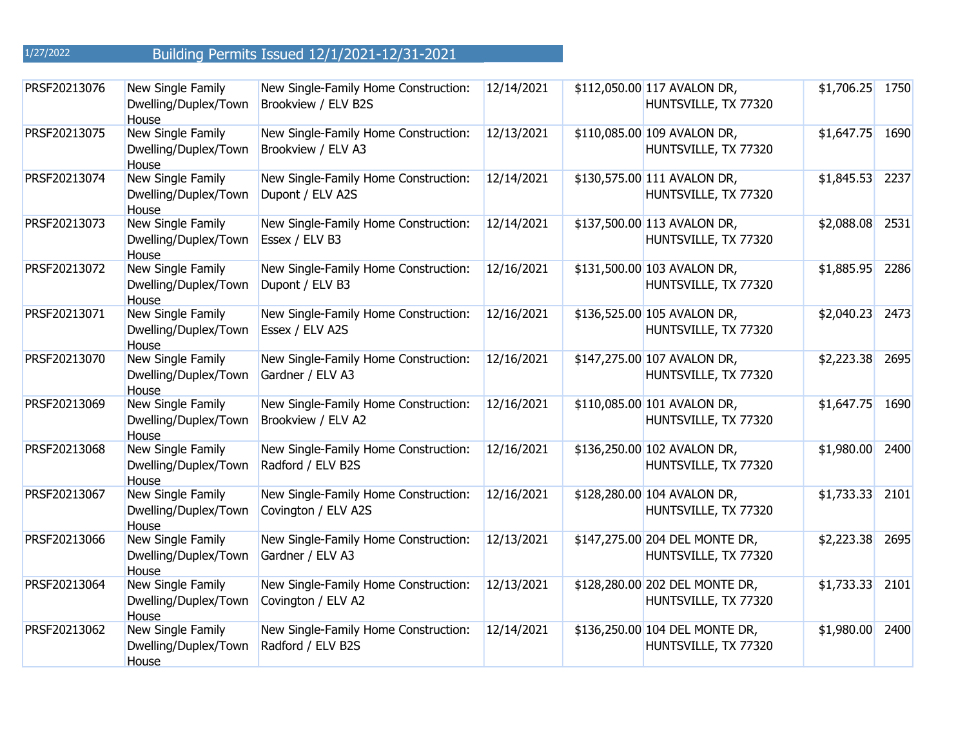| PRSF20213076 | New Single Family<br>Dwelling/Duplex/Town<br>House | New Single-Family Home Construction:<br>Brookview / ELV B2S | 12/14/2021 | \$112,050.00 117 AVALON DR,<br>HUNTSVILLE, TX 77320    | \$1,706.25 1750  |      |
|--------------|----------------------------------------------------|-------------------------------------------------------------|------------|--------------------------------------------------------|------------------|------|
| PRSF20213075 | New Single Family<br>Dwelling/Duplex/Town<br>House | New Single-Family Home Construction:<br>Brookview / ELV A3  | 12/13/2021 | \$110,085.00 109 AVALON DR,<br>HUNTSVILLE, TX 77320    | $$1,647.75$ 1690 |      |
| PRSF20213074 | New Single Family<br>Dwelling/Duplex/Town<br>House | New Single-Family Home Construction:<br>Dupont / ELV A2S    | 12/14/2021 | \$130,575.00 111 AVALON DR,<br>HUNTSVILLE, TX 77320    | \$1,845.53       | 2237 |
| PRSF20213073 | New Single Family<br>Dwelling/Duplex/Town<br>House | New Single-Family Home Construction:<br>Essex / ELV B3      | 12/14/2021 | \$137,500.00 113 AVALON DR,<br>HUNTSVILLE, TX 77320    | \$2,088.08       | 2531 |
| PRSF20213072 | New Single Family<br>Dwelling/Duplex/Town<br>House | New Single-Family Home Construction:<br>Dupont / ELV B3     | 12/16/2021 | \$131,500.00 103 AVALON DR,<br>HUNTSVILLE, TX 77320    | \$1,885.95       | 2286 |
| PRSF20213071 | New Single Family<br>Dwelling/Duplex/Town<br>House | New Single-Family Home Construction:<br>Essex / ELV A2S     | 12/16/2021 | \$136,525.00 105 AVALON DR,<br>HUNTSVILLE, TX 77320    | \$2,040.23 2473  |      |
| PRSF20213070 | New Single Family<br>Dwelling/Duplex/Town<br>House | New Single-Family Home Construction:<br>Gardner / ELV A3    | 12/16/2021 | \$147,275.00 107 AVALON DR,<br>HUNTSVILLE, TX 77320    | \$2,223.38       | 2695 |
| PRSF20213069 | New Single Family<br>Dwelling/Duplex/Town<br>House | New Single-Family Home Construction:<br>Brookview / ELV A2  | 12/16/2021 | \$110,085.00 101 AVALON DR,<br>HUNTSVILLE, TX 77320    | $$1,647.75$ 1690 |      |
| PRSF20213068 | New Single Family<br>Dwelling/Duplex/Town<br>House | New Single-Family Home Construction:<br>Radford / ELV B2S   | 12/16/2021 | \$136,250.00 102 AVALON DR,<br>HUNTSVILLE, TX 77320    | \$1,980.00       | 2400 |
| PRSF20213067 | New Single Family<br>Dwelling/Duplex/Town<br>House | New Single-Family Home Construction:<br>Covington / ELV A2S | 12/16/2021 | \$128,280.00 104 AVALON DR,<br>HUNTSVILLE, TX 77320    | $$1,733.33$ 2101 |      |
| PRSF20213066 | New Single Family<br>Dwelling/Duplex/Town<br>House | New Single-Family Home Construction:<br>Gardner / ELV A3    | 12/13/2021 | \$147,275.00 204 DEL MONTE DR,<br>HUNTSVILLE, TX 77320 | \$2,223.38       | 2695 |
| PRSF20213064 | New Single Family<br>Dwelling/Duplex/Town<br>House | New Single-Family Home Construction:<br>Covington / ELV A2  | 12/13/2021 | \$128,280.00 202 DEL MONTE DR,<br>HUNTSVILLE, TX 77320 | \$1,733.33       | 2101 |
| PRSF20213062 | New Single Family<br>Dwelling/Duplex/Town<br>House | New Single-Family Home Construction:<br>Radford / ELV B2S   | 12/14/2021 | \$136,250.00 104 DEL MONTE DR,<br>HUNTSVILLE, TX 77320 | \$1,980.00       | 2400 |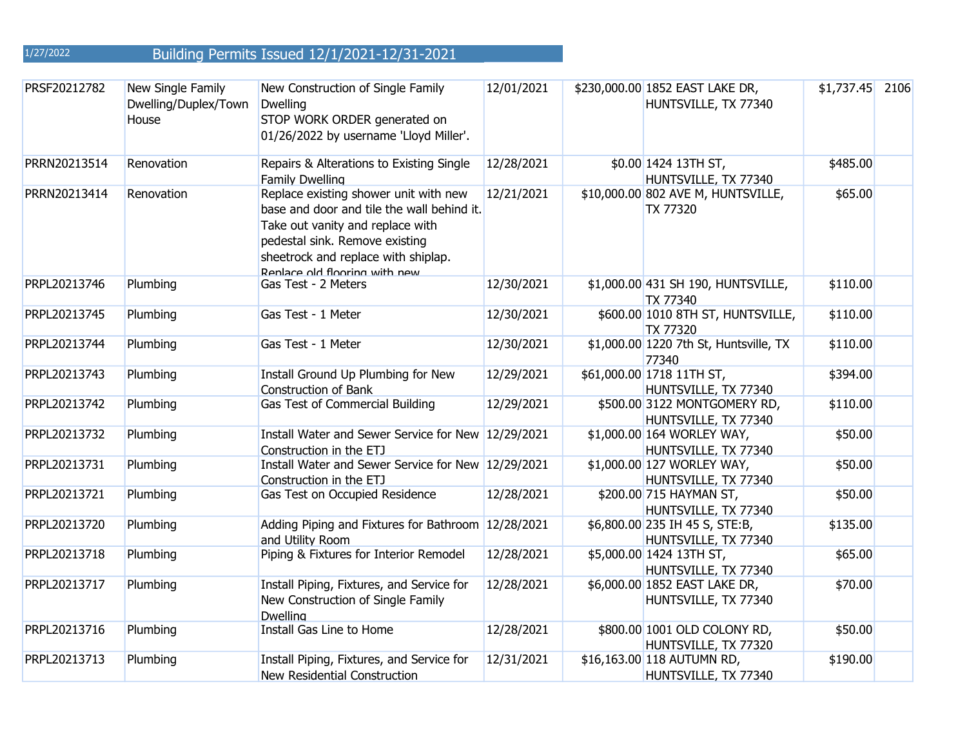| PRSF20212782 | New Single Family<br>Dwelling/Duplex/Town<br>House | New Construction of Single Family<br><b>Dwelling</b><br>STOP WORK ORDER generated on<br>01/26/2022 by username 'Lloyd Miller'.                                                                                                    | 12/01/2021 | \$230,000.00 1852 EAST LAKE DR,<br>HUNTSVILLE, TX 77340 | $$1,737.45$ 2106 |  |
|--------------|----------------------------------------------------|-----------------------------------------------------------------------------------------------------------------------------------------------------------------------------------------------------------------------------------|------------|---------------------------------------------------------|------------------|--|
| PRRN20213514 | Renovation                                         | Repairs & Alterations to Existing Single<br><b>Family Dwelling</b>                                                                                                                                                                | 12/28/2021 | \$0.00 1424 13TH ST,<br>HUNTSVILLE, TX 77340            | \$485.00         |  |
| PRRN20213414 | Renovation                                         | Replace existing shower unit with new<br>base and door and tile the wall behind it.<br>Take out vanity and replace with<br>pedestal sink. Remove existing<br>sheetrock and replace with shiplap.<br>Renlace old flooring with new | 12/21/2021 | \$10,000.00 802 AVE M, HUNTSVILLE,<br><b>TX 77320</b>   | \$65.00          |  |
| PRPL20213746 | Plumbing                                           | Gas Test - 2 Meters                                                                                                                                                                                                               | 12/30/2021 | \$1,000.00 431 SH 190, HUNTSVILLE,<br>TX 77340          | \$110.00         |  |
| PRPL20213745 | Plumbing                                           | Gas Test - 1 Meter                                                                                                                                                                                                                | 12/30/2021 | \$600.00 1010 8TH ST, HUNTSVILLE,<br><b>TX 77320</b>    | \$110.00         |  |
| PRPL20213744 | Plumbing                                           | Gas Test - 1 Meter                                                                                                                                                                                                                | 12/30/2021 | \$1,000.00 1220 7th St, Huntsville, TX<br>77340         | \$110.00         |  |
| PRPL20213743 | Plumbing                                           | Install Ground Up Plumbing for New<br><b>Construction of Bank</b>                                                                                                                                                                 | 12/29/2021 | \$61,000.00 1718 11TH ST,<br>HUNTSVILLE, TX 77340       | \$394.00         |  |
| PRPL20213742 | Plumbing                                           | Gas Test of Commercial Building                                                                                                                                                                                                   | 12/29/2021 | \$500.00 3122 MONTGOMERY RD,<br>HUNTSVILLE, TX 77340    | \$110.00         |  |
| PRPL20213732 | Plumbing                                           | Install Water and Sewer Service for New 12/29/2021<br>Construction in the ETJ                                                                                                                                                     |            | \$1,000.00 164 WORLEY WAY,<br>HUNTSVILLE, TX 77340      | \$50.00          |  |
| PRPL20213731 | Plumbing                                           | Install Water and Sewer Service for New 12/29/2021<br>Construction in the ETJ                                                                                                                                                     |            | \$1,000.00 127 WORLEY WAY,<br>HUNTSVILLE, TX 77340      | \$50.00          |  |
| PRPL20213721 | Plumbing                                           | Gas Test on Occupied Residence                                                                                                                                                                                                    | 12/28/2021 | \$200.00 715 HAYMAN ST,<br>HUNTSVILLE, TX 77340         | \$50.00          |  |
| PRPL20213720 | Plumbing                                           | Adding Piping and Fixtures for Bathroom 12/28/2021<br>and Utility Room                                                                                                                                                            |            | \$6,800.00 235 IH 45 S, STE:B,<br>HUNTSVILLE, TX 77340  | \$135.00         |  |
| PRPL20213718 | Plumbing                                           | Piping & Fixtures for Interior Remodel                                                                                                                                                                                            | 12/28/2021 | \$5,000.00 1424 13TH ST,<br>HUNTSVILLE, TX 77340        | \$65.00          |  |
| PRPL20213717 | Plumbing                                           | Install Piping, Fixtures, and Service for<br>New Construction of Single Family<br><b>Dwelling</b>                                                                                                                                 | 12/28/2021 | \$6,000.00 1852 EAST LAKE DR,<br>HUNTSVILLE, TX 77340   | \$70.00          |  |
| PRPL20213716 | Plumbing                                           | Install Gas Line to Home                                                                                                                                                                                                          | 12/28/2021 | \$800.00 1001 OLD COLONY RD,<br>HUNTSVILLE, TX 77320    | \$50.00          |  |
| PRPL20213713 | Plumbing                                           | Install Piping, Fixtures, and Service for<br>New Residential Construction                                                                                                                                                         | 12/31/2021 | \$16,163.00 118 AUTUMN RD,<br>HUNTSVILLE, TX 77340      | \$190.00         |  |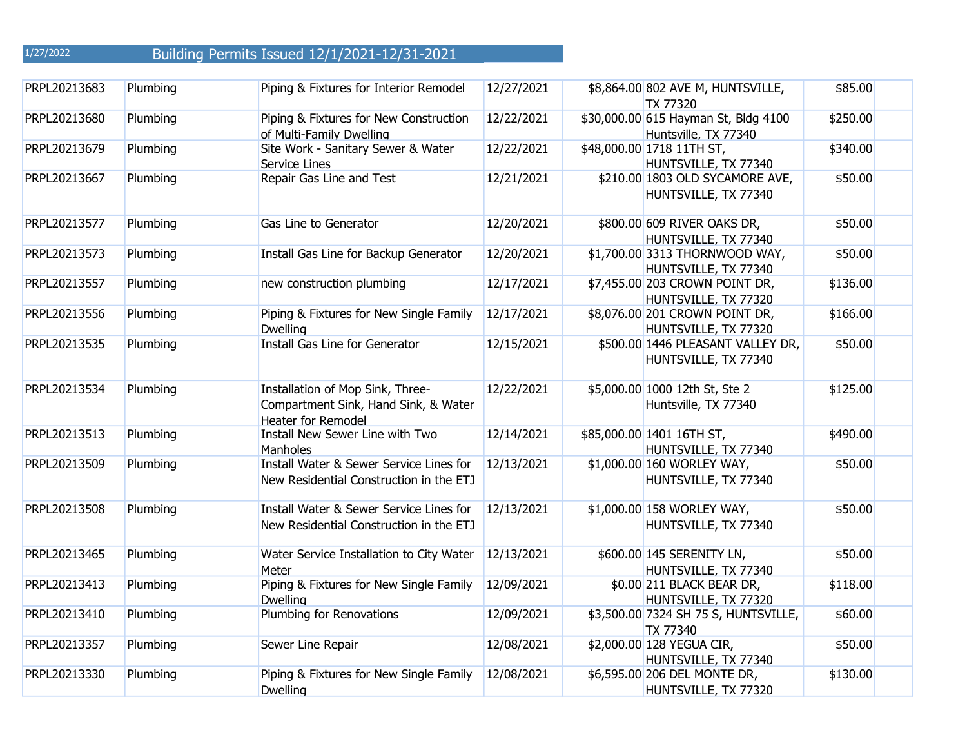| PRPL20213683 | Plumbing | Piping & Fixtures for Interior Remodel                                                         | 12/27/2021 | \$8,864.00 802 AVE M, HUNTSVILLE,<br>TX 77320                | \$85.00  |  |
|--------------|----------|------------------------------------------------------------------------------------------------|------------|--------------------------------------------------------------|----------|--|
| PRPL20213680 | Plumbing | Piping & Fixtures for New Construction<br>of Multi-Family Dwelling                             | 12/22/2021 | \$30,000.00 615 Hayman St, Bldg 4100<br>Huntsville, TX 77340 | \$250.00 |  |
| PRPL20213679 | Plumbing | Site Work - Sanitary Sewer & Water<br><b>Service Lines</b>                                     | 12/22/2021 | \$48,000.00 1718 11TH ST,<br>HUNTSVILLE, TX 77340            | \$340.00 |  |
| PRPL20213667 | Plumbing | Repair Gas Line and Test                                                                       | 12/21/2021 | \$210.00 1803 OLD SYCAMORE AVE,<br>HUNTSVILLE, TX 77340      | \$50.00  |  |
| PRPL20213577 | Plumbing | Gas Line to Generator                                                                          | 12/20/2021 | \$800.00 609 RIVER OAKS DR,<br>HUNTSVILLE, TX 77340          | \$50.00  |  |
| PRPL20213573 | Plumbing | Install Gas Line for Backup Generator                                                          | 12/20/2021 | \$1,700.00 3313 THORNWOOD WAY,<br>HUNTSVILLE, TX 77340       | \$50.00  |  |
| PRPL20213557 | Plumbing | new construction plumbing                                                                      | 12/17/2021 | \$7,455.00 203 CROWN POINT DR,<br>HUNTSVILLE, TX 77320       | \$136.00 |  |
| PRPL20213556 | Plumbing | Piping & Fixtures for New Single Family<br><b>Dwelling</b>                                     | 12/17/2021 | \$8,076.00 201 CROWN POINT DR,<br>HUNTSVILLE, TX 77320       | \$166.00 |  |
| PRPL20213535 | Plumbing | Install Gas Line for Generator                                                                 | 12/15/2021 | \$500.00 1446 PLEASANT VALLEY DR,<br>HUNTSVILLE, TX 77340    | \$50.00  |  |
| PRPL20213534 | Plumbing | Installation of Mop Sink, Three-<br>Compartment Sink, Hand Sink, & Water<br>Heater for Remodel | 12/22/2021 | \$5,000.00 1000 12th St, Ste 2<br>Huntsville, TX 77340       | \$125.00 |  |
| PRPL20213513 | Plumbing | Install New Sewer Line with Two<br><b>Manholes</b>                                             | 12/14/2021 | \$85,000.00 1401 16TH ST,<br>HUNTSVILLE, TX 77340            | \$490.00 |  |
| PRPL20213509 | Plumbing | Install Water & Sewer Service Lines for<br>New Residential Construction in the ETJ             | 12/13/2021 | \$1,000.00 160 WORLEY WAY,<br>HUNTSVILLE, TX 77340           | \$50.00  |  |
| PRPL20213508 | Plumbing | Install Water & Sewer Service Lines for<br>New Residential Construction in the ETJ             | 12/13/2021 | \$1,000.00 158 WORLEY WAY,<br>HUNTSVILLE, TX 77340           | \$50.00  |  |
| PRPL20213465 | Plumbing | Water Service Installation to City Water<br>Meter                                              | 12/13/2021 | \$600.00 145 SERENITY LN,<br>HUNTSVILLE, TX 77340            | \$50.00  |  |
| PRPL20213413 | Plumbing | Piping & Fixtures for New Single Family<br>Dwelling                                            | 12/09/2021 | \$0.00 211 BLACK BEAR DR,<br>HUNTSVILLE, TX 77320            | \$118.00 |  |
| PRPL20213410 | Plumbing | Plumbing for Renovations                                                                       | 12/09/2021 | \$3,500.00 7324 SH 75 S, HUNTSVILLE,<br>TX 77340             | \$60.00  |  |
| PRPL20213357 | Plumbing | Sewer Line Repair                                                                              | 12/08/2021 | \$2,000.00 128 YEGUA CIR,<br>HUNTSVILLE, TX 77340            | \$50.00  |  |
| PRPL20213330 | Plumbing | Piping & Fixtures for New Single Family<br><b>Dwelling</b>                                     | 12/08/2021 | \$6,595.00 206 DEL MONTE DR,<br>HUNTSVILLE, TX 77320         | \$130.00 |  |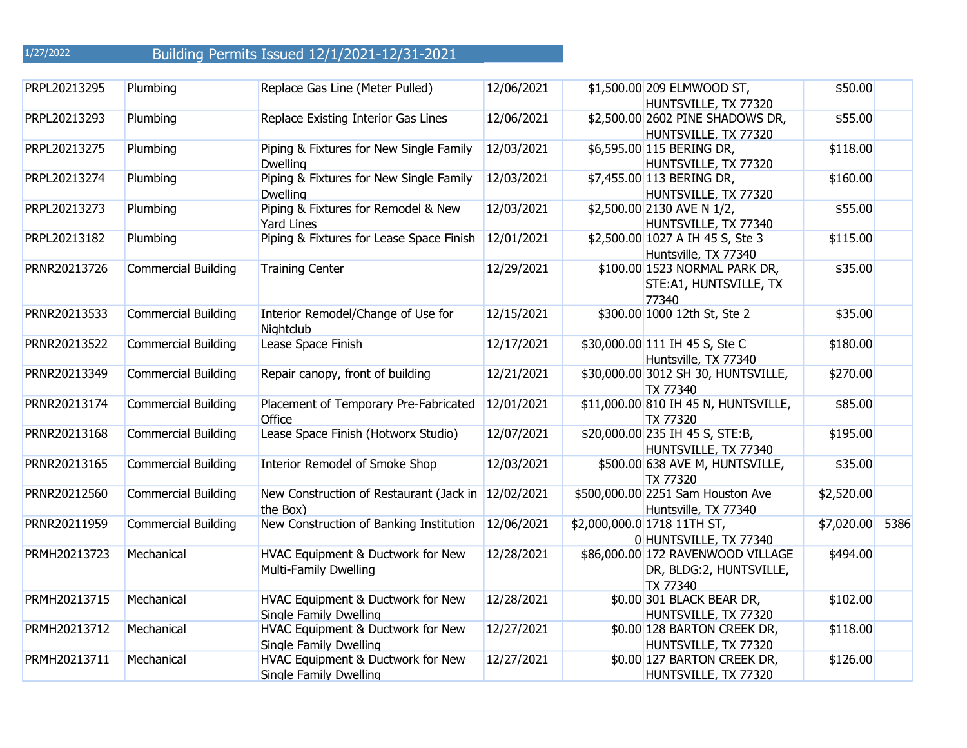| PRPL20213295 | Plumbing                   | Replace Gas Line (Meter Pulled)                                | 12/06/2021 | \$1,500.00 209 ELMWOOD ST,<br>HUNTSVILLE, TX 77320                              | \$50.00    |      |
|--------------|----------------------------|----------------------------------------------------------------|------------|---------------------------------------------------------------------------------|------------|------|
| PRPL20213293 | Plumbing                   | Replace Existing Interior Gas Lines                            | 12/06/2021 | \$2,500.00 2602 PINE SHADOWS DR,<br>HUNTSVILLE, TX 77320                        | \$55.00    |      |
| PRPL20213275 | Plumbing                   | Piping & Fixtures for New Single Family<br><b>Dwelling</b>     | 12/03/2021 | \$6,595.00 115 BERING DR,<br>HUNTSVILLE, TX 77320                               | \$118.00   |      |
| PRPL20213274 | Plumbing                   | Piping & Fixtures for New Single Family<br><b>Dwelling</b>     | 12/03/2021 | \$7,455.00 113 BERING DR,<br>HUNTSVILLE, TX 77320                               | \$160.00   |      |
| PRPL20213273 | Plumbing                   | Piping & Fixtures for Remodel & New<br><b>Yard Lines</b>       | 12/03/2021 | \$2,500.00 2130 AVE N 1/2,<br>HUNTSVILLE, TX 77340                              | \$55.00    |      |
| PRPL20213182 | Plumbing                   | Piping & Fixtures for Lease Space Finish                       | 12/01/2021 | \$2,500.00 1027 A IH 45 S, Ste 3<br>Huntsville, TX 77340                        | \$115.00   |      |
| PRNR20213726 | <b>Commercial Building</b> | <b>Training Center</b>                                         | 12/29/2021 | \$100.00 1523 NORMAL PARK DR,<br>STE:A1, HUNTSVILLE, TX<br>77340                | \$35.00    |      |
| PRNR20213533 | <b>Commercial Building</b> | Interior Remodel/Change of Use for<br>Nightclub                | 12/15/2021 | \$300.00 1000 12th St, Ste 2                                                    | \$35.00    |      |
| PRNR20213522 | <b>Commercial Building</b> | Lease Space Finish                                             | 12/17/2021 | \$30,000.00 111 IH 45 S, Ste C<br>Huntsville, TX 77340                          | \$180.00   |      |
| PRNR20213349 | <b>Commercial Building</b> | Repair canopy, front of building                               | 12/21/2021 | \$30,000.00 3012 SH 30, HUNTSVILLE,<br>TX 77340                                 | \$270.00   |      |
| PRNR20213174 | <b>Commercial Building</b> | Placement of Temporary Pre-Fabricated<br>Office                | 12/01/2021 | \$11,000.00 810 IH 45 N, HUNTSVILLE,<br><b>TX 77320</b>                         | \$85.00    |      |
| PRNR20213168 | <b>Commercial Building</b> | Lease Space Finish (Hotworx Studio)                            | 12/07/2021 | \$20,000.00 235 IH 45 S, STE:B,<br>HUNTSVILLE, TX 77340                         | \$195.00   |      |
| PRNR20213165 | <b>Commercial Building</b> | <b>Interior Remodel of Smoke Shop</b>                          | 12/03/2021 | \$500.00 638 AVE M, HUNTSVILLE,<br>TX 77320                                     | \$35.00    |      |
| PRNR20212560 | <b>Commercial Building</b> | New Construction of Restaurant (Jack in 12/02/2021<br>the Box) |            | \$500,000.00 2251 Sam Houston Ave<br>Huntsville, TX 77340                       | \$2,520.00 |      |
| PRNR20211959 | <b>Commercial Building</b> | New Construction of Banking Institution                        | 12/06/2021 | \$2,000,000.0 1718 11TH ST,<br>0 HUNTSVILLE, TX 77340                           | \$7,020.00 | 5386 |
| PRMH20213723 | Mechanical                 | HVAC Equipment & Ductwork for New<br>Multi-Family Dwelling     | 12/28/2021 | \$86,000.00 172 RAVENWOOD VILLAGE<br>DR, BLDG:2, HUNTSVILLE,<br><b>TX 77340</b> | \$494.00   |      |
| PRMH20213715 | Mechanical                 | HVAC Equipment & Ductwork for New<br>Single Family Dwelling    | 12/28/2021 | \$0.00 301 BLACK BEAR DR,<br>HUNTSVILLE, TX 77320                               | \$102.00   |      |
| PRMH20213712 | Mechanical                 | HVAC Equipment & Ductwork for New<br>Single Family Dwelling    | 12/27/2021 | \$0.00 128 BARTON CREEK DR,<br>HUNTSVILLE, TX 77320                             | \$118.00   |      |
| PRMH20213711 | Mechanical                 | HVAC Equipment & Ductwork for New<br>Single Family Dwelling    | 12/27/2021 | \$0.00 127 BARTON CREEK DR,<br>HUNTSVILLE, TX 77320                             | \$126.00   |      |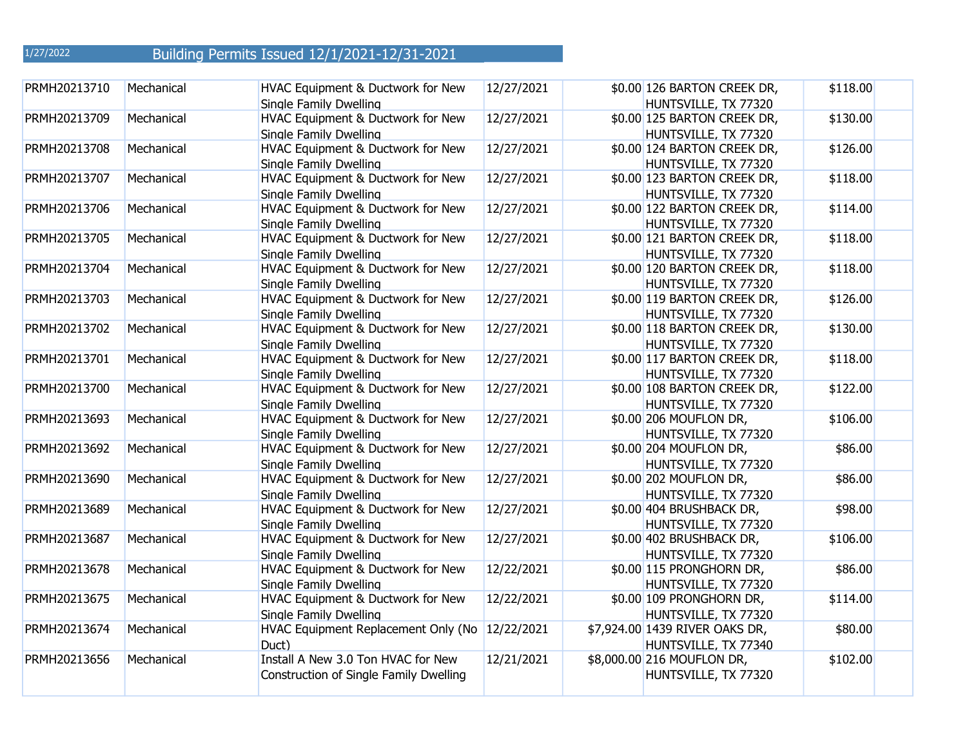| PRMH20213710 | Mechanical | HVAC Equipment & Ductwork for New<br>Single Family Dwelling                  | 12/27/2021 | \$0.00 126 BARTON CREEK DR,<br>HUNTSVILLE, TX 77320    | \$118.00 |
|--------------|------------|------------------------------------------------------------------------------|------------|--------------------------------------------------------|----------|
| PRMH20213709 | Mechanical | HVAC Equipment & Ductwork for New<br>Single Family Dwelling                  | 12/27/2021 | \$0.00 125 BARTON CREEK DR,<br>HUNTSVILLE, TX 77320    | \$130.00 |
| PRMH20213708 | Mechanical | HVAC Equipment & Ductwork for New<br>Single Family Dwelling                  | 12/27/2021 | \$0.00 124 BARTON CREEK DR,<br>HUNTSVILLE, TX 77320    | \$126.00 |
| PRMH20213707 | Mechanical | HVAC Equipment & Ductwork for New<br>Single Family Dwelling                  | 12/27/2021 | \$0.00 123 BARTON CREEK DR,<br>HUNTSVILLE, TX 77320    | \$118.00 |
| PRMH20213706 | Mechanical | HVAC Equipment & Ductwork for New<br>Single Family Dwelling                  | 12/27/2021 | \$0.00 122 BARTON CREEK DR,<br>HUNTSVILLE, TX 77320    | \$114.00 |
| PRMH20213705 | Mechanical | HVAC Equipment & Ductwork for New<br>Single Family Dwelling                  | 12/27/2021 | \$0.00 121 BARTON CREEK DR,<br>HUNTSVILLE, TX 77320    | \$118.00 |
| PRMH20213704 | Mechanical | HVAC Equipment & Ductwork for New<br>Single Family Dwelling                  | 12/27/2021 | \$0.00 120 BARTON CREEK DR,<br>HUNTSVILLE, TX 77320    | \$118.00 |
| PRMH20213703 | Mechanical | HVAC Equipment & Ductwork for New<br>Single Family Dwelling                  | 12/27/2021 | \$0.00 119 BARTON CREEK DR,<br>HUNTSVILLE, TX 77320    | \$126.00 |
| PRMH20213702 | Mechanical | HVAC Equipment & Ductwork for New<br>Single Family Dwelling                  | 12/27/2021 | \$0.00 118 BARTON CREEK DR,<br>HUNTSVILLE, TX 77320    | \$130.00 |
| PRMH20213701 | Mechanical | HVAC Equipment & Ductwork for New<br>Single Family Dwelling                  | 12/27/2021 | \$0.00 117 BARTON CREEK DR,<br>HUNTSVILLE, TX 77320    | \$118.00 |
| PRMH20213700 | Mechanical | HVAC Equipment & Ductwork for New<br>Single Family Dwelling                  | 12/27/2021 | \$0.00 108 BARTON CREEK DR,<br>HUNTSVILLE, TX 77320    | \$122.00 |
| PRMH20213693 | Mechanical | HVAC Equipment & Ductwork for New<br>Single Family Dwelling                  | 12/27/2021 | \$0.00 206 MOUFLON DR,<br>HUNTSVILLE, TX 77320         | \$106.00 |
| PRMH20213692 | Mechanical | HVAC Equipment & Ductwork for New<br>Single Family Dwelling                  | 12/27/2021 | \$0.00 204 MOUFLON DR,<br>HUNTSVILLE, TX 77320         | \$86.00  |
| PRMH20213690 | Mechanical | HVAC Equipment & Ductwork for New<br>Single Family Dwelling                  | 12/27/2021 | \$0.00 202 MOUFLON DR,<br>HUNTSVILLE, TX 77320         | \$86.00  |
| PRMH20213689 | Mechanical | HVAC Equipment & Ductwork for New<br>Single Family Dwelling                  | 12/27/2021 | \$0.00 404 BRUSHBACK DR,<br>HUNTSVILLE, TX 77320       | \$98.00  |
| PRMH20213687 | Mechanical | HVAC Equipment & Ductwork for New<br>Single Family Dwelling                  | 12/27/2021 | \$0.00 402 BRUSHBACK DR,<br>HUNTSVILLE, TX 77320       | \$106.00 |
| PRMH20213678 | Mechanical | HVAC Equipment & Ductwork for New<br>Single Family Dwelling                  | 12/22/2021 | \$0.00 115 PRONGHORN DR,<br>HUNTSVILLE, TX 77320       | \$86.00  |
| PRMH20213675 | Mechanical | HVAC Equipment & Ductwork for New<br>Single Family Dwelling                  | 12/22/2021 | \$0.00 109 PRONGHORN DR,<br>HUNTSVILLE, TX 77320       | \$114.00 |
| PRMH20213674 | Mechanical | HVAC Equipment Replacement Only (No<br>Duct)                                 | 12/22/2021 | \$7,924.00 1439 RIVER OAKS DR,<br>HUNTSVILLE, TX 77340 | \$80.00  |
| PRMH20213656 | Mechanical | Install A New 3.0 Ton HVAC for New<br>Construction of Single Family Dwelling | 12/21/2021 | \$8,000.00 216 MOUFLON DR,<br>HUNTSVILLE, TX 77320     | \$102.00 |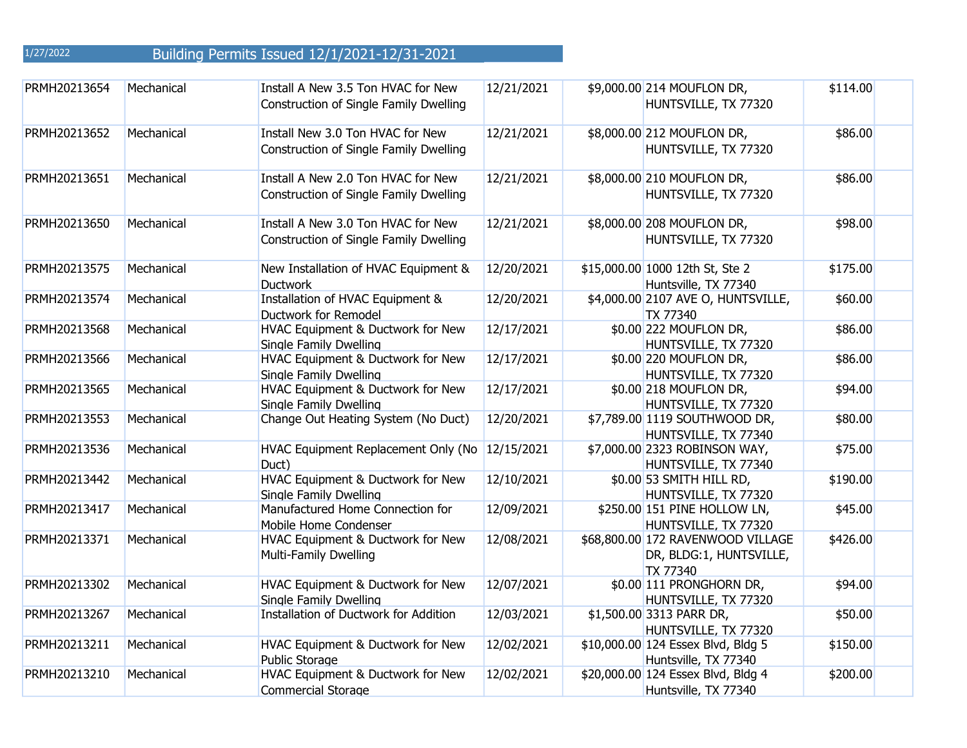| PRMH20213654 | Mechanical | Install A New 3.5 Ton HVAC for New<br>Construction of Single Family Dwelling | 12/21/2021 | \$9,000.00 214 MOUFLON DR,<br>HUNTSVILLE, TX 77320                       | \$114.00 |
|--------------|------------|------------------------------------------------------------------------------|------------|--------------------------------------------------------------------------|----------|
| PRMH20213652 | Mechanical | Install New 3.0 Ton HVAC for New<br>Construction of Single Family Dwelling   | 12/21/2021 | \$8,000.00 212 MOUFLON DR,<br>HUNTSVILLE, TX 77320                       | \$86.00  |
| PRMH20213651 | Mechanical | Install A New 2.0 Ton HVAC for New<br>Construction of Single Family Dwelling | 12/21/2021 | \$8,000.00 210 MOUFLON DR,<br>HUNTSVILLE, TX 77320                       | \$86.00  |
| PRMH20213650 | Mechanical | Install A New 3.0 Ton HVAC for New<br>Construction of Single Family Dwelling | 12/21/2021 | \$8,000.00 208 MOUFLON DR,<br>HUNTSVILLE, TX 77320                       | \$98.00  |
| PRMH20213575 | Mechanical | New Installation of HVAC Equipment &<br><b>Ductwork</b>                      | 12/20/2021 | \$15,000.00 1000 12th St, Ste 2<br>Huntsville, TX 77340                  | \$175.00 |
| PRMH20213574 | Mechanical | Installation of HVAC Equipment &<br>Ductwork for Remodel                     | 12/20/2021 | \$4,000.00 2107 AVE O, HUNTSVILLE,<br>TX 77340                           | \$60.00  |
| PRMH20213568 | Mechanical | HVAC Equipment & Ductwork for New<br>Single Family Dwelling                  | 12/17/2021 | \$0.00 222 MOUFLON DR,<br>HUNTSVILLE, TX 77320                           | \$86.00  |
| PRMH20213566 | Mechanical | HVAC Equipment & Ductwork for New<br>Single Family Dwelling                  | 12/17/2021 | \$0.00 220 MOUFLON DR,<br>HUNTSVILLE, TX 77320                           | \$86.00  |
| PRMH20213565 | Mechanical | HVAC Equipment & Ductwork for New<br>Single Family Dwelling                  | 12/17/2021 | \$0.00 218 MOUFLON DR,<br>HUNTSVILLE, TX 77320                           | \$94.00  |
| PRMH20213553 | Mechanical | Change Out Heating System (No Duct)                                          | 12/20/2021 | \$7,789.00 1119 SOUTHWOOD DR,<br>HUNTSVILLE, TX 77340                    | \$80.00  |
| PRMH20213536 | Mechanical | HVAC Equipment Replacement Only (No<br>Duct)                                 | 12/15/2021 | \$7,000.00 2323 ROBINSON WAY,<br>HUNTSVILLE, TX 77340                    | \$75.00  |
| PRMH20213442 | Mechanical | HVAC Equipment & Ductwork for New<br>Single Family Dwelling                  | 12/10/2021 | \$0.00 53 SMITH HILL RD,<br>HUNTSVILLE, TX 77320                         | \$190.00 |
| PRMH20213417 | Mechanical | Manufactured Home Connection for<br>Mobile Home Condenser                    | 12/09/2021 | \$250.00 151 PINE HOLLOW LN,<br>HUNTSVILLE, TX 77320                     | \$45.00  |
| PRMH20213371 | Mechanical | HVAC Equipment & Ductwork for New<br><b>Multi-Family Dwelling</b>            | 12/08/2021 | \$68,800.00 172 RAVENWOOD VILLAGE<br>DR, BLDG:1, HUNTSVILLE,<br>TX 77340 | \$426.00 |
| PRMH20213302 | Mechanical | HVAC Equipment & Ductwork for New<br>Single Family Dwelling                  | 12/07/2021 | \$0.00 111 PRONGHORN DR,<br>HUNTSVILLE, TX 77320                         | \$94.00  |
| PRMH20213267 | Mechanical | <b>Installation of Ductwork for Addition</b>                                 | 12/03/2021 | \$1,500.00 3313 PARR DR,<br>HUNTSVILLE, TX 77320                         | \$50.00  |
| PRMH20213211 | Mechanical | HVAC Equipment & Ductwork for New<br><b>Public Storage</b>                   | 12/02/2021 | \$10,000.00 124 Essex Blvd, Bldg 5<br>Huntsville, TX 77340               | \$150.00 |
| PRMH20213210 | Mechanical | HVAC Equipment & Ductwork for New<br><b>Commercial Storage</b>               | 12/02/2021 | \$20,000.00 124 Essex Blvd, Bldg 4<br>Huntsville, TX 77340               | \$200.00 |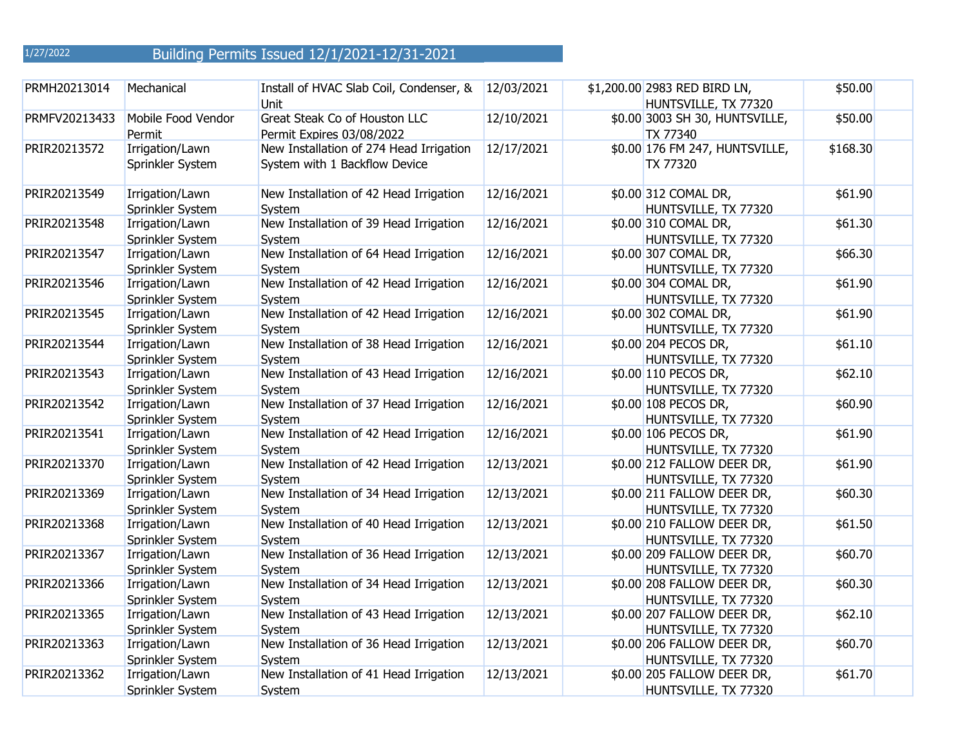| 1/27/2022 | Building Permits Issued 12/1/2021-12/31-2021 |  |  |
|-----------|----------------------------------------------|--|--|
|           |                                              |  |  |

| PRMH20213014  | Mechanical                          | Install of HVAC Slab Coil, Condenser, &<br>Unit                          | 12/03/2021 | \$1,200.00 2983 RED BIRD LN,<br>HUNTSVILLE, TX 77320 | \$50.00  |
|---------------|-------------------------------------|--------------------------------------------------------------------------|------------|------------------------------------------------------|----------|
| PRMFV20213433 | Mobile Food Vendor<br>Permit        | Great Steak Co of Houston LLC<br>Permit Expires 03/08/2022               | 12/10/2021 | \$0.00 3003 SH 30, HUNTSVILLE,<br><b>TX 77340</b>    | \$50.00  |
| PRIR20213572  | Irrigation/Lawn<br>Sprinkler System | New Installation of 274 Head Irrigation<br>System with 1 Backflow Device | 12/17/2021 | \$0.00 176 FM 247, HUNTSVILLE,<br>TX 77320           | \$168.30 |
| PRIR20213549  | Irrigation/Lawn<br>Sprinkler System | New Installation of 42 Head Irrigation<br>System                         | 12/16/2021 | \$0.00 312 COMAL DR,<br>HUNTSVILLE, TX 77320         | \$61.90  |
| PRIR20213548  | Irrigation/Lawn<br>Sprinkler System | New Installation of 39 Head Irrigation<br>System                         | 12/16/2021 | \$0.00 310 COMAL DR,<br>HUNTSVILLE, TX 77320         | \$61.30  |
| PRIR20213547  | Irrigation/Lawn<br>Sprinkler System | New Installation of 64 Head Irrigation<br>System                         | 12/16/2021 | \$0.00 307 COMAL DR,<br>HUNTSVILLE, TX 77320         | \$66.30  |
| PRIR20213546  | Irrigation/Lawn<br>Sprinkler System | New Installation of 42 Head Irrigation<br>System                         | 12/16/2021 | \$0.00 304 COMAL DR,<br>HUNTSVILLE, TX 77320         | \$61.90  |
| PRIR20213545  | Irrigation/Lawn<br>Sprinkler System | New Installation of 42 Head Irrigation<br>System                         | 12/16/2021 | \$0.00 302 COMAL DR,<br>HUNTSVILLE, TX 77320         | \$61.90  |
| PRIR20213544  | Irrigation/Lawn<br>Sprinkler System | New Installation of 38 Head Irrigation<br>System                         | 12/16/2021 | \$0.00 204 PECOS DR,<br>HUNTSVILLE, TX 77320         | \$61.10  |
| PRIR20213543  | Irrigation/Lawn<br>Sprinkler System | New Installation of 43 Head Irrigation<br>System                         | 12/16/2021 | \$0.00 110 PECOS DR,<br>HUNTSVILLE, TX 77320         | \$62.10  |
| PRIR20213542  | Irrigation/Lawn<br>Sprinkler System | New Installation of 37 Head Irrigation<br>System                         | 12/16/2021 | \$0.00 108 PECOS DR,<br>HUNTSVILLE, TX 77320         | \$60.90  |
| PRIR20213541  | Irrigation/Lawn<br>Sprinkler System | New Installation of 42 Head Irrigation<br>System                         | 12/16/2021 | \$0.00 106 PECOS DR,<br>HUNTSVILLE, TX 77320         | \$61.90  |
| PRIR20213370  | Irrigation/Lawn<br>Sprinkler System | New Installation of 42 Head Irrigation<br>System                         | 12/13/2021 | \$0.00 212 FALLOW DEER DR,<br>HUNTSVILLE, TX 77320   | \$61.90  |
| PRIR20213369  | Irrigation/Lawn<br>Sprinkler System | New Installation of 34 Head Irrigation<br>System                         | 12/13/2021 | \$0.00 211 FALLOW DEER DR,<br>HUNTSVILLE, TX 77320   | \$60.30  |
| PRIR20213368  | Irrigation/Lawn<br>Sprinkler System | New Installation of 40 Head Irrigation<br>System                         | 12/13/2021 | \$0.00 210 FALLOW DEER DR,<br>HUNTSVILLE, TX 77320   | \$61.50  |
| PRIR20213367  | Irrigation/Lawn<br>Sprinkler System | New Installation of 36 Head Irrigation<br>System                         | 12/13/2021 | \$0.00 209 FALLOW DEER DR,<br>HUNTSVILLE, TX 77320   | \$60.70  |
| PRIR20213366  | Irrigation/Lawn<br>Sprinkler System | New Installation of 34 Head Irrigation<br>Svstem                         | 12/13/2021 | \$0.00 208 FALLOW DEER DR,<br>HUNTSVILLE, TX 77320   | \$60.30  |
| PRIR20213365  | Irrigation/Lawn<br>Sprinkler System | New Installation of 43 Head Irrigation<br>System                         | 12/13/2021 | \$0.00 207 FALLOW DEER DR,<br>HUNTSVILLE, TX 77320   | \$62.10  |
| PRIR20213363  | Irrigation/Lawn<br>Sprinkler System | New Installation of 36 Head Irrigation<br>System                         | 12/13/2021 | \$0.00 206 FALLOW DEER DR,<br>HUNTSVILLE, TX 77320   | \$60.70  |
| PRIR20213362  | Irrigation/Lawn<br>Sprinkler System | New Installation of 41 Head Irrigation<br>System                         | 12/13/2021 | \$0.00 205 FALLOW DEER DR,<br>HUNTSVILLE, TX 77320   | \$61.70  |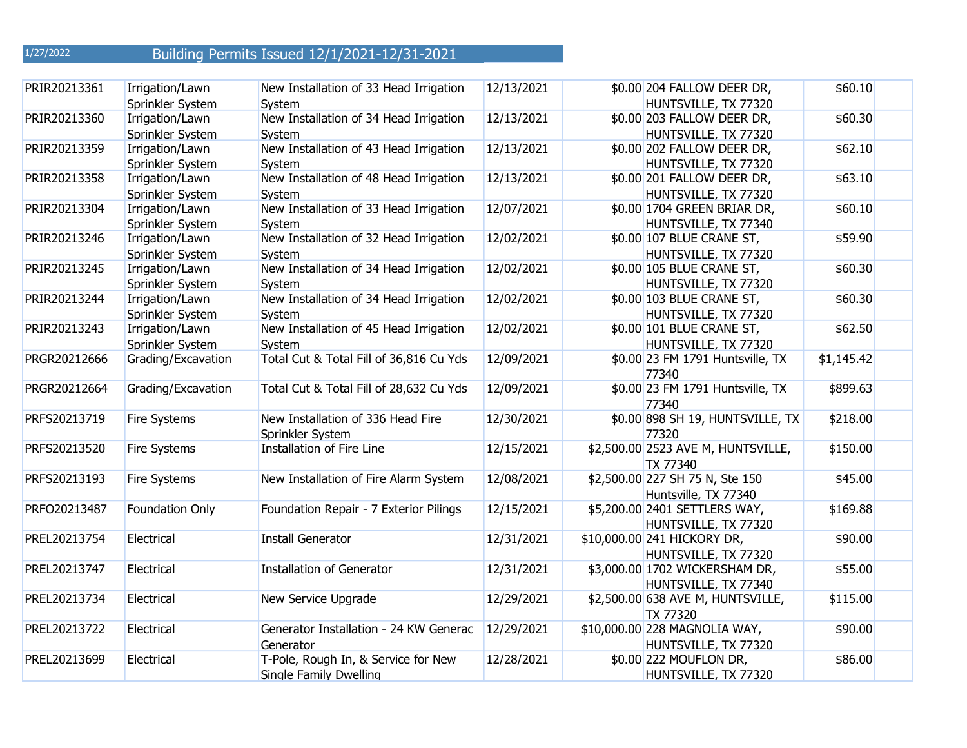| PRIR20213361 | Irrigation/Lawn     | New Installation of 33 Head Irrigation  | 12/13/2021 | \$0.00 204 FALLOW DEER DR,                | \$60.10    |
|--------------|---------------------|-----------------------------------------|------------|-------------------------------------------|------------|
|              | Sprinkler System    | System                                  |            | HUNTSVILLE, TX 77320                      |            |
| PRIR20213360 | Irrigation/Lawn     | New Installation of 34 Head Irrigation  | 12/13/2021 | \$0.00 203 FALLOW DEER DR,                | \$60.30    |
|              | Sprinkler System    | System                                  |            | HUNTSVILLE, TX 77320                      |            |
| PRIR20213359 | Irrigation/Lawn     | New Installation of 43 Head Irrigation  | 12/13/2021 | \$0.00 202 FALLOW DEER DR,                | \$62.10    |
|              | Sprinkler System    | System                                  |            | HUNTSVILLE, TX 77320                      |            |
| PRIR20213358 | Irrigation/Lawn     | New Installation of 48 Head Irrigation  | 12/13/2021 | \$0.00 201 FALLOW DEER DR,                | \$63.10    |
|              | Sprinkler System    | System                                  |            | HUNTSVILLE, TX 77320                      |            |
| PRIR20213304 | Irrigation/Lawn     | New Installation of 33 Head Irrigation  | 12/07/2021 | \$0.00 1704 GREEN BRIAR DR,               | \$60.10    |
|              | Sprinkler System    | System                                  |            | HUNTSVILLE, TX 77340                      |            |
| PRIR20213246 | Irrigation/Lawn     | New Installation of 32 Head Irrigation  | 12/02/2021 | \$0.00 107 BLUE CRANE ST,                 | \$59.90    |
|              | Sprinkler System    | System                                  |            | HUNTSVILLE, TX 77320                      |            |
| PRIR20213245 | Irrigation/Lawn     | New Installation of 34 Head Irrigation  | 12/02/2021 | \$0.00 105 BLUE CRANE ST,                 | \$60.30    |
|              | Sprinkler System    | System                                  |            | HUNTSVILLE, TX 77320                      |            |
| PRIR20213244 | Irrigation/Lawn     | New Installation of 34 Head Irrigation  | 12/02/2021 | \$0.00 103 BLUE CRANE ST,                 | \$60.30    |
|              | Sprinkler System    | System                                  |            | HUNTSVILLE, TX 77320                      |            |
| PRIR20213243 | Irrigation/Lawn     | New Installation of 45 Head Irrigation  | 12/02/2021 | \$0.00 101 BLUE CRANE ST,                 | \$62.50    |
|              | Sprinkler System    | System                                  |            | HUNTSVILLE, TX 77320                      |            |
| PRGR20212666 | Grading/Excavation  | Total Cut & Total Fill of 36,816 Cu Yds | 12/09/2021 | \$0.00 23 FM 1791 Huntsville, TX          | \$1,145.42 |
|              |                     |                                         |            | 77340                                     |            |
| PRGR20212664 | Grading/Excavation  | Total Cut & Total Fill of 28,632 Cu Yds | 12/09/2021 | \$0.00 23 FM 1791 Huntsville, TX<br>77340 | \$899.63   |
| PRFS20213719 | Fire Systems        | New Installation of 336 Head Fire       | 12/30/2021 | \$0.00 898 SH 19, HUNTSVILLE, TX          | \$218.00   |
|              |                     | Sprinkler System                        |            | 77320                                     |            |
| PRFS20213520 | <b>Fire Systems</b> | Installation of Fire Line               | 12/15/2021 | \$2,500.00 2523 AVE M, HUNTSVILLE,        | \$150.00   |
|              |                     |                                         |            | <b>TX 77340</b>                           |            |
| PRFS20213193 | Fire Systems        | New Installation of Fire Alarm System   | 12/08/2021 | \$2,500.00 227 SH 75 N, Ste 150           | \$45.00    |
|              |                     |                                         |            | Huntsville, TX 77340                      |            |
| PRFO20213487 | Foundation Only     | Foundation Repair - 7 Exterior Pilings  | 12/15/2021 | \$5,200.00 2401 SETTLERS WAY,             | \$169.88   |
|              |                     |                                         |            | HUNTSVILLE, TX 77320                      |            |
| PREL20213754 | Electrical          | <b>Install Generator</b>                | 12/31/2021 | \$10,000.00 241 HICKORY DR,               | \$90.00    |
|              |                     |                                         |            | HUNTSVILLE, TX 77320                      |            |
| PREL20213747 | Electrical          | <b>Installation of Generator</b>        | 12/31/2021 | \$3,000.00 1702 WICKERSHAM DR,            | \$55.00    |
|              |                     |                                         |            | HUNTSVILLE, TX 77340                      |            |
| PREL20213734 | Electrical          | New Service Upgrade                     | 12/29/2021 | \$2,500.00 638 AVE M, HUNTSVILLE,         | \$115.00   |
|              |                     |                                         |            | <b>TX 77320</b>                           |            |
| PREL20213722 | Electrical          | Generator Installation - 24 KW Generac  | 12/29/2021 | \$10,000.00 228 MAGNOLIA WAY,             | \$90.00    |
|              |                     | Generator                               |            | HUNTSVILLE, TX 77320                      |            |
| PREL20213699 | Electrical          | T-Pole, Rough In, & Service for New     | 12/28/2021 | \$0.00 222 MOUFLON DR,                    | \$86.00    |
|              |                     | Single Family Dwelling                  |            | HUNTSVILLE, TX 77320                      |            |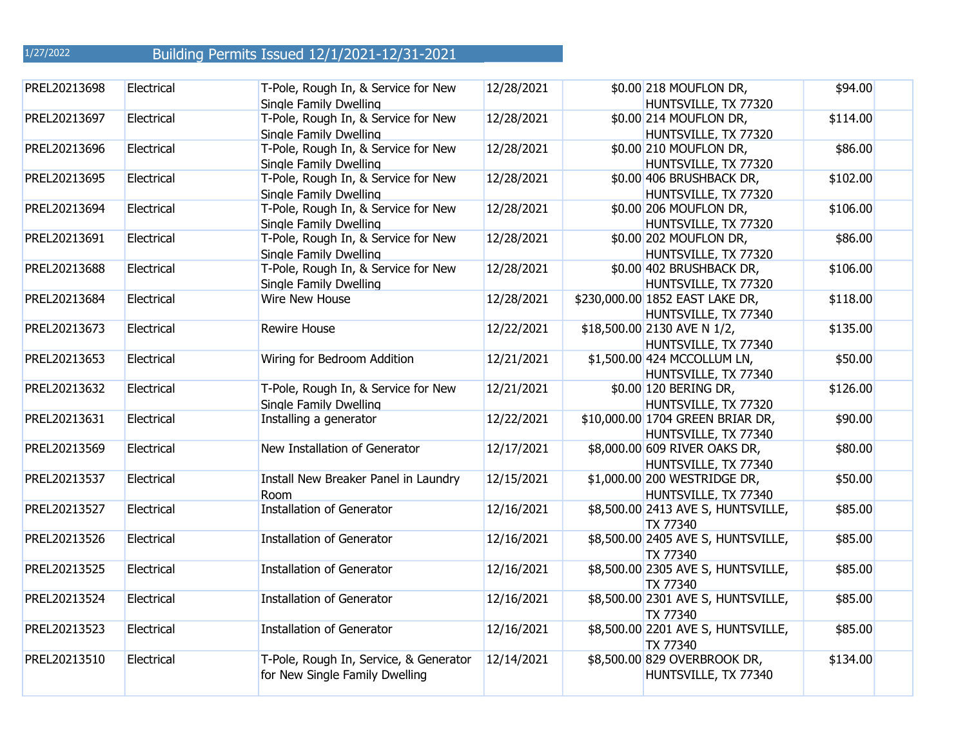| PREL20213698 | Electrical | T-Pole, Rough In, & Service for New<br>Single Family Dwelling            | 12/28/2021 | \$0.00 218 MOUFLON DR,<br>HUNTSVILLE, TX 77320           | \$94.00  |
|--------------|------------|--------------------------------------------------------------------------|------------|----------------------------------------------------------|----------|
| PREL20213697 | Electrical | T-Pole, Rough In, & Service for New<br>Single Family Dwelling            | 12/28/2021 | \$0.00 214 MOUFLON DR,<br>HUNTSVILLE, TX 77320           | \$114.00 |
| PREL20213696 | Electrical | T-Pole, Rough In, & Service for New<br>Single Family Dwelling            | 12/28/2021 | \$0.00 210 MOUFLON DR,<br>HUNTSVILLE, TX 77320           | \$86.00  |
| PREL20213695 | Electrical | T-Pole, Rough In, & Service for New<br>Single Family Dwelling            | 12/28/2021 | \$0.00 406 BRUSHBACK DR,<br>HUNTSVILLE, TX 77320         | \$102.00 |
| PREL20213694 | Electrical | T-Pole, Rough In, & Service for New<br>Single Family Dwelling            | 12/28/2021 | \$0.00 206 MOUFLON DR,<br>HUNTSVILLE, TX 77320           | \$106.00 |
| PREL20213691 | Electrical | T-Pole, Rough In, & Service for New<br>Single Family Dwelling            | 12/28/2021 | \$0.00 202 MOUFLON DR,<br>HUNTSVILLE, TX 77320           | \$86.00  |
| PREL20213688 | Electrical | T-Pole, Rough In, & Service for New<br>Single Family Dwelling            | 12/28/2021 | \$0.00 402 BRUSHBACK DR,<br>HUNTSVILLE, TX 77320         | \$106.00 |
| PREL20213684 | Electrical | Wire New House                                                           | 12/28/2021 | \$230,000.00 1852 EAST LAKE DR,<br>HUNTSVILLE, TX 77340  | \$118.00 |
| PREL20213673 | Electrical | <b>Rewire House</b>                                                      | 12/22/2021 | \$18,500.00 2130 AVE N 1/2,<br>HUNTSVILLE, TX 77340      | \$135.00 |
| PREL20213653 | Electrical | Wiring for Bedroom Addition                                              | 12/21/2021 | \$1,500.00 424 MCCOLLUM LN,<br>HUNTSVILLE, TX 77340      | \$50.00  |
| PREL20213632 | Electrical | T-Pole, Rough In, & Service for New<br>Single Family Dwelling            | 12/21/2021 | \$0.00 120 BERING DR,<br>HUNTSVILLE, TX 77320            | \$126.00 |
| PREL20213631 | Electrical | Installing a generator                                                   | 12/22/2021 | \$10,000.00 1704 GREEN BRIAR DR,<br>HUNTSVILLE, TX 77340 | \$90.00  |
| PREL20213569 | Electrical | New Installation of Generator                                            | 12/17/2021 | \$8,000.00 609 RIVER OAKS DR,<br>HUNTSVILLE, TX 77340    | \$80.00  |
| PREL20213537 | Electrical | Install New Breaker Panel in Laundry<br><b>Room</b>                      | 12/15/2021 | \$1,000.00 200 WESTRIDGE DR,<br>HUNTSVILLE, TX 77340     | \$50.00  |
| PREL20213527 | Electrical | <b>Installation of Generator</b>                                         | 12/16/2021 | \$8,500.00 2413 AVE S, HUNTSVILLE,<br><b>TX 77340</b>    | \$85.00  |
| PREL20213526 | Electrical | <b>Installation of Generator</b>                                         | 12/16/2021 | \$8,500.00 2405 AVE S, HUNTSVILLE,<br>TX 77340           | \$85.00  |
| PREL20213525 | Electrical | <b>Installation of Generator</b>                                         | 12/16/2021 | \$8,500.00 2305 AVE S, HUNTSVILLE,<br>TX 77340           | \$85.00  |
| PREL20213524 | Electrical | <b>Installation of Generator</b>                                         | 12/16/2021 | \$8,500.00 2301 AVE S, HUNTSVILLE,<br>TX 77340           | \$85.00  |
| PREL20213523 | Electrical | <b>Installation of Generator</b>                                         | 12/16/2021 | \$8,500.00 2201 AVE S, HUNTSVILLE,<br><b>TX 77340</b>    | \$85.00  |
| PREL20213510 | Electrical | T-Pole, Rough In, Service, & Generator<br>for New Single Family Dwelling | 12/14/2021 | \$8,500.00 829 OVERBROOK DR,<br>HUNTSVILLE, TX 77340     | \$134.00 |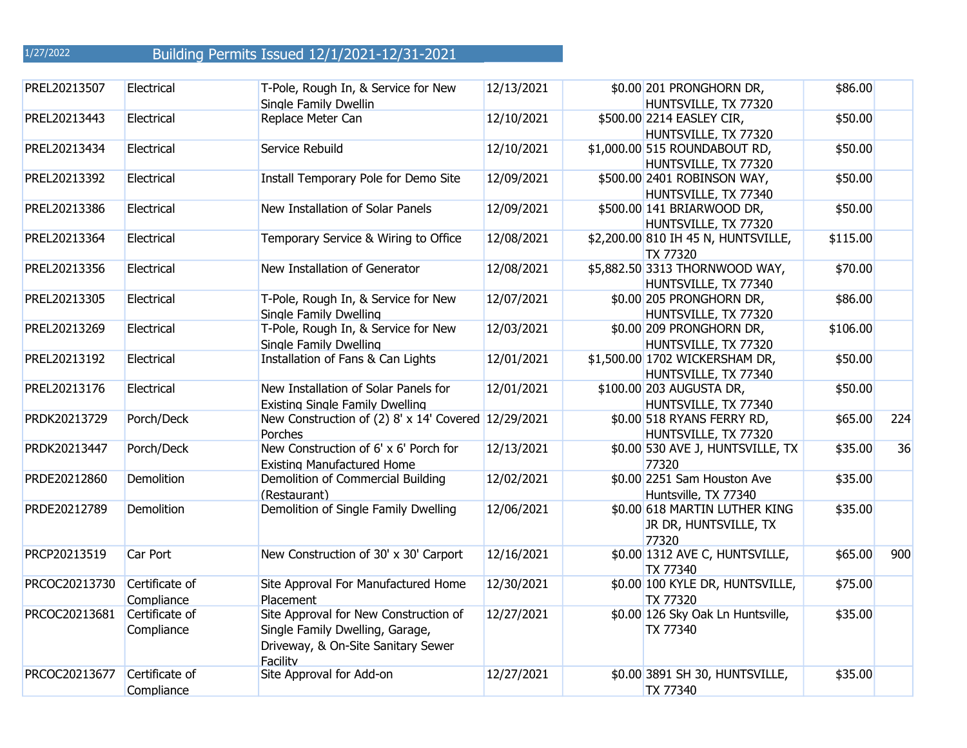| PREL20213507  | Electrical                   | T-Pole, Rough In, & Service for New<br>Single Family Dwellin                                                               | 12/13/2021 | \$0.00 201 PRONGHORN DR,<br>HUNTSVILLE, TX 77320                | \$86.00  |     |
|---------------|------------------------------|----------------------------------------------------------------------------------------------------------------------------|------------|-----------------------------------------------------------------|----------|-----|
| PREL20213443  | Electrical                   | Replace Meter Can                                                                                                          | 12/10/2021 | \$500.00 2214 EASLEY CIR,<br>HUNTSVILLE, TX 77320               | \$50.00  |     |
| PREL20213434  | Electrical                   | Service Rebuild                                                                                                            | 12/10/2021 | \$1,000.00 515 ROUNDABOUT RD,<br>HUNTSVILLE, TX 77320           | \$50.00  |     |
| PREL20213392  | Electrical                   | Install Temporary Pole for Demo Site                                                                                       | 12/09/2021 | \$500.00 2401 ROBINSON WAY,<br>HUNTSVILLE, TX 77340             | \$50.00  |     |
| PREL20213386  | Electrical                   | New Installation of Solar Panels                                                                                           | 12/09/2021 | \$500.00 141 BRIARWOOD DR,<br>HUNTSVILLE, TX 77320              | \$50.00  |     |
| PREL20213364  | Electrical                   | Temporary Service & Wiring to Office                                                                                       | 12/08/2021 | \$2,200.00 810 IH 45 N, HUNTSVILLE,<br>TX 77320                 | \$115.00 |     |
| PREL20213356  | Electrical                   | New Installation of Generator                                                                                              | 12/08/2021 | \$5,882.50 3313 THORNWOOD WAY,<br>HUNTSVILLE, TX 77340          | \$70.00  |     |
| PREL20213305  | Electrical                   | T-Pole, Rough In, & Service for New<br>Single Family Dwelling                                                              | 12/07/2021 | \$0.00 205 PRONGHORN DR,<br>HUNTSVILLE, TX 77320                | \$86.00  |     |
| PREL20213269  | Electrical                   | T-Pole, Rough In, & Service for New<br>Single Family Dwelling                                                              | 12/03/2021 | \$0.00 209 PRONGHORN DR,<br>HUNTSVILLE, TX 77320                | \$106.00 |     |
| PREL20213192  | Electrical                   | Installation of Fans & Can Lights                                                                                          | 12/01/2021 | \$1,500.00 1702 WICKERSHAM DR,<br>HUNTSVILLE, TX 77340          | \$50.00  |     |
| PREL20213176  | Electrical                   | New Installation of Solar Panels for<br><b>Existing Single Family Dwelling</b>                                             | 12/01/2021 | \$100.00 203 AUGUSTA DR,<br>HUNTSVILLE, TX 77340                | \$50.00  |     |
| PRDK20213729  | Porch/Deck                   | New Construction of (2) 8' x 14' Covered 12/29/2021<br>Porches                                                             |            | \$0.00 518 RYANS FERRY RD,<br>HUNTSVILLE, TX 77320              | \$65.00  | 224 |
| PRDK20213447  | Porch/Deck                   | New Construction of 6' x 6' Porch for<br><b>Existing Manufactured Home</b>                                                 | 12/13/2021 | \$0.00 530 AVE J, HUNTSVILLE, TX<br>77320                       | \$35.00  | 36  |
| PRDE20212860  | Demolition                   | Demolition of Commercial Building<br>(Restaurant)                                                                          | 12/02/2021 | \$0.00 2251 Sam Houston Ave<br>Huntsville, TX 77340             | \$35.00  |     |
| PRDE20212789  | Demolition                   | Demolition of Single Family Dwelling                                                                                       | 12/06/2021 | \$0.00 618 MARTIN LUTHER KING<br>JR DR, HUNTSVILLE, TX<br>77320 | \$35.00  |     |
| PRCP20213519  | Car Port                     | New Construction of 30' x 30' Carport                                                                                      | 12/16/2021 | \$0.00 1312 AVE C, HUNTSVILLE,<br>TX 77340                      | \$65.00  | 900 |
| PRCOC20213730 | Certificate of<br>Compliance | Site Approval For Manufactured Home<br>Placement                                                                           | 12/30/2021 | \$0.00 100 KYLE DR, HUNTSVILLE,<br>TX 77320                     | \$75.00  |     |
| PRCOC20213681 | Certificate of<br>Compliance | Site Approval for New Construction of<br>Single Family Dwelling, Garage,<br>Driveway, & On-Site Sanitary Sewer<br>Facility | 12/27/2021 | \$0.00 126 Sky Oak Ln Huntsville,<br>TX 77340                   | \$35.00  |     |
| PRCOC20213677 | Certificate of<br>Compliance | Site Approval for Add-on                                                                                                   | 12/27/2021 | \$0.00 3891 SH 30, HUNTSVILLE,<br>TX 77340                      | \$35.00  |     |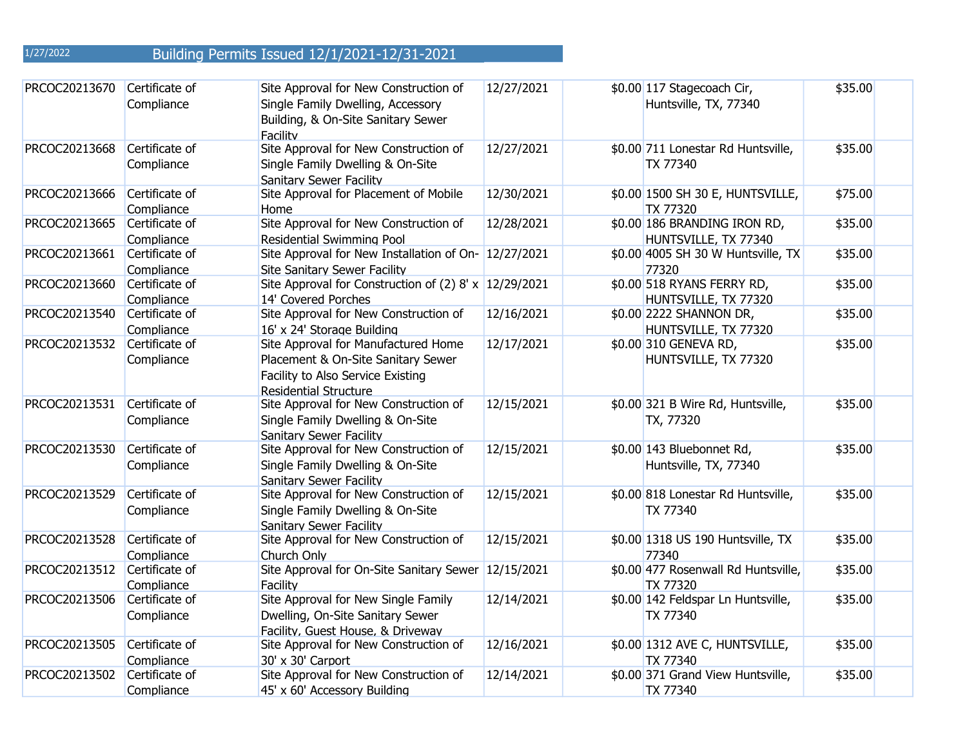| PRCOC20213670 | Certificate of<br>Compliance | Site Approval for New Construction of<br>Single Family Dwelling, Accessory<br>Building, & On-Site Sanitary Sewer<br>Facility                   | 12/27/2021 | \$0.00 117 Stagecoach Cir,<br>Huntsville, TX, 77340  | \$35.00 |
|---------------|------------------------------|------------------------------------------------------------------------------------------------------------------------------------------------|------------|------------------------------------------------------|---------|
| PRCOC20213668 | Certificate of<br>Compliance | Site Approval for New Construction of<br>Single Family Dwelling & On-Site<br>Sanitary Sewer Facility                                           | 12/27/2021 | \$0.00 711 Lonestar Rd Huntsville,<br>TX 77340       | \$35.00 |
| PRCOC20213666 | Certificate of<br>Compliance | Site Approval for Placement of Mobile<br>Home                                                                                                  | 12/30/2021 | \$0.00 1500 SH 30 E, HUNTSVILLE,<br>TX 77320         | \$75.00 |
| PRCOC20213665 | Certificate of<br>Compliance | Site Approval for New Construction of<br><b>Residential Swimming Pool</b>                                                                      | 12/28/2021 | \$0.00 186 BRANDING IRON RD,<br>HUNTSVILLE, TX 77340 | \$35.00 |
| PRCOC20213661 | Certificate of<br>Compliance | Site Approval for New Installation of On- 12/27/2021<br><b>Site Sanitary Sewer Facility</b>                                                    |            | \$0.00 4005 SH 30 W Huntsville, TX<br>77320          | \$35.00 |
| PRCOC20213660 | Certificate of<br>Compliance | Site Approval for Construction of (2) 8' x $12/29/2021$<br>14' Covered Porches                                                                 |            | \$0.00 518 RYANS FERRY RD,<br>HUNTSVILLE, TX 77320   | \$35.00 |
| PRCOC20213540 | Certificate of<br>Compliance | Site Approval for New Construction of<br>16' x 24' Storage Building                                                                            | 12/16/2021 | \$0.00 2222 SHANNON DR,<br>HUNTSVILLE, TX 77320      | \$35.00 |
| PRCOC20213532 | Certificate of<br>Compliance | Site Approval for Manufactured Home<br>Placement & On-Site Sanitary Sewer<br>Facility to Also Service Existing<br><b>Residential Structure</b> | 12/17/2021 | \$0.00 310 GENEVA RD,<br>HUNTSVILLE, TX 77320        | \$35.00 |
| PRCOC20213531 | Certificate of<br>Compliance | Site Approval for New Construction of<br>Single Family Dwelling & On-Site<br><b>Sanitary Sewer Facility</b>                                    | 12/15/2021 | \$0.00 321 B Wire Rd, Huntsville,<br>TX, 77320       | \$35.00 |
| PRCOC20213530 | Certificate of<br>Compliance | Site Approval for New Construction of<br>Single Family Dwelling & On-Site<br>Sanitary Sewer Facility                                           | 12/15/2021 | \$0.00 143 Bluebonnet Rd,<br>Huntsville, TX, 77340   | \$35.00 |
| PRCOC20213529 | Certificate of<br>Compliance | Site Approval for New Construction of<br>Single Family Dwelling & On-Site<br><b>Sanitary Sewer Facility</b>                                    | 12/15/2021 | \$0.00 818 Lonestar Rd Huntsville,<br>TX 77340       | \$35.00 |
| PRCOC20213528 | Certificate of<br>Compliance | Site Approval for New Construction of<br>Church Only                                                                                           | 12/15/2021 | \$0.00 1318 US 190 Huntsville, TX<br>77340           | \$35.00 |
| PRCOC20213512 | Certificate of<br>Compliance | Site Approval for On-Site Sanitary Sewer<br>Facility                                                                                           | 12/15/2021 | \$0.00 477 Rosenwall Rd Huntsville,<br>TX 77320      | \$35.00 |
| PRCOC20213506 | Certificate of<br>Compliance | Site Approval for New Single Family<br>Dwelling, On-Site Sanitary Sewer<br>Facility, Guest House, & Driveway                                   | 12/14/2021 | \$0.00 142 Feldspar Ln Huntsville,<br>TX 77340       | \$35.00 |
| PRCOC20213505 | Certificate of<br>Compliance | Site Approval for New Construction of<br>30' x 30' Carport                                                                                     | 12/16/2021 | \$0.00 1312 AVE C, HUNTSVILLE,<br>TX 77340           | \$35.00 |
| PRCOC20213502 | Certificate of<br>Compliance | Site Approval for New Construction of<br>45' x 60' Accessory Building                                                                          | 12/14/2021 | \$0.00 371 Grand View Huntsville,<br>TX 77340        | \$35.00 |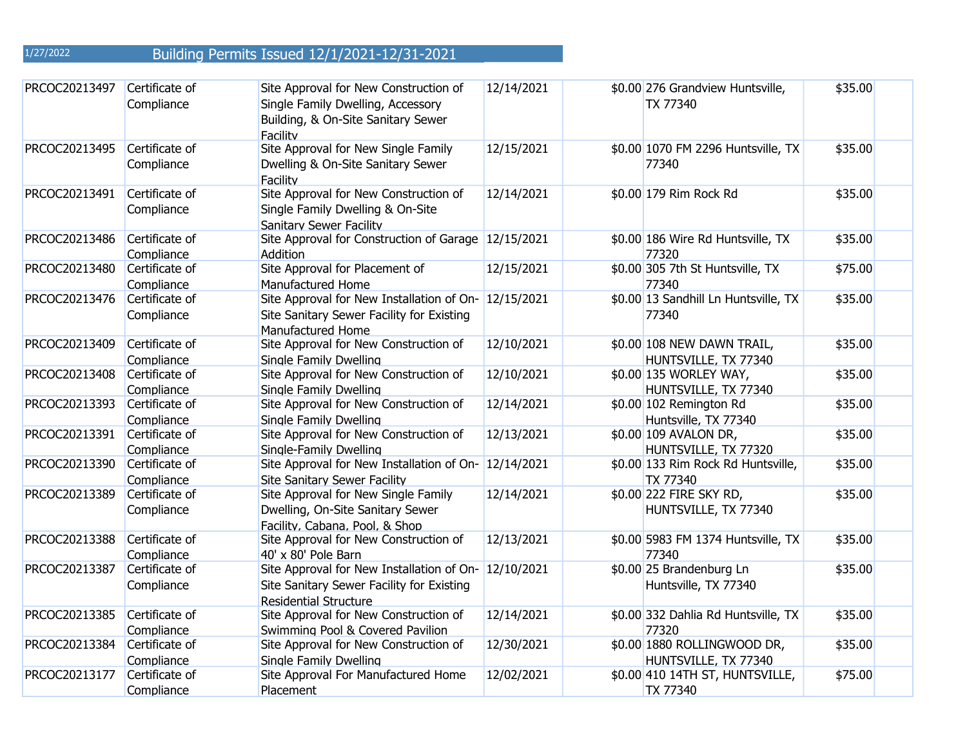| PRCOC20213497 | Certificate of<br>Compliance | Site Approval for New Construction of<br>Single Family Dwelling, Accessory<br>Building, & On-Site Sanitary Sewer<br>Facility      | 12/14/2021 | \$0.00 276 Grandview Huntsville,<br>TX 77340          | \$35.00 |
|---------------|------------------------------|-----------------------------------------------------------------------------------------------------------------------------------|------------|-------------------------------------------------------|---------|
| PRCOC20213495 | Certificate of<br>Compliance | Site Approval for New Single Family<br>Dwelling & On-Site Sanitary Sewer<br>Facility                                              | 12/15/2021 | \$0.00 1070 FM 2296 Huntsville, TX<br>77340           | \$35.00 |
| PRCOC20213491 | Certificate of<br>Compliance | Site Approval for New Construction of<br>Single Family Dwelling & On-Site<br>Sanitary Sewer Facility                              | 12/14/2021 | \$0.00 179 Rim Rock Rd                                | \$35.00 |
| PRCOC20213486 | Certificate of<br>Compliance | Site Approval for Construction of Garage 12/15/2021<br><b>Addition</b>                                                            |            | \$0.00 186 Wire Rd Huntsville, TX<br>77320            | \$35.00 |
| PRCOC20213480 | Certificate of<br>Compliance | Site Approval for Placement of<br>Manufactured Home                                                                               | 12/15/2021 | \$0.00 305 7th St Huntsville, TX<br>77340             | \$75.00 |
| PRCOC20213476 | Certificate of<br>Compliance | Site Approval for New Installation of On-<br>Site Sanitary Sewer Facility for Existing<br><b>Manufactured Home</b>                | 12/15/2021 | \$0.00 13 Sandhill Ln Huntsville, TX<br>77340         | \$35.00 |
| PRCOC20213409 | Certificate of<br>Compliance | Site Approval for New Construction of<br>Single Family Dwelling                                                                   | 12/10/2021 | \$0.00 108 NEW DAWN TRAIL,<br>HUNTSVILLE, TX 77340    | \$35.00 |
| PRCOC20213408 | Certificate of<br>Compliance | Site Approval for New Construction of<br>Single Family Dwelling                                                                   | 12/10/2021 | \$0.00 135 WORLEY WAY,<br>HUNTSVILLE, TX 77340        | \$35.00 |
| PRCOC20213393 | Certificate of<br>Compliance | Site Approval for New Construction of<br>Single Family Dwelling                                                                   | 12/14/2021 | \$0.00 102 Remington Rd<br>Huntsville, TX 77340       | \$35.00 |
| PRCOC20213391 | Certificate of<br>Compliance | Site Approval for New Construction of<br>Single-Family Dwelling                                                                   | 12/13/2021 | \$0.00 109 AVALON DR,<br>HUNTSVILLE, TX 77320         | \$35.00 |
| PRCOC20213390 | Certificate of<br>Compliance | Site Approval for New Installation of On- 12/14/2021<br><b>Site Sanitary Sewer Facility</b>                                       |            | \$0.00 133 Rim Rock Rd Huntsville,<br><b>TX 77340</b> | \$35.00 |
| PRCOC20213389 | Certificate of<br>Compliance | Site Approval for New Single Family<br>Dwelling, On-Site Sanitary Sewer<br>Facility, Cabana, Pool, & Shop                         | 12/14/2021 | \$0.00 222 FIRE SKY RD,<br>HUNTSVILLE, TX 77340       | \$35.00 |
| PRCOC20213388 | Certificate of<br>Compliance | Site Approval for New Construction of<br>40' x 80' Pole Barn                                                                      | 12/13/2021 | \$0.00 5983 FM 1374 Huntsville, TX<br>77340           | \$35.00 |
| PRCOC20213387 | Certificate of<br>Compliance | Site Approval for New Installation of On- 12/10/2021<br>Site Sanitary Sewer Facility for Existing<br><b>Residential Structure</b> |            | \$0.00 25 Brandenburg Ln<br>Huntsville, TX 77340      | \$35.00 |
| PRCOC20213385 | Certificate of<br>Compliance | Site Approval for New Construction of<br>Swimming Pool & Covered Pavilion                                                         | 12/14/2021 | \$0.00 332 Dahlia Rd Huntsville, TX<br>77320          | \$35.00 |
| PRCOC20213384 | Certificate of<br>Compliance | Site Approval for New Construction of<br>Single Family Dwelling                                                                   | 12/30/2021 | \$0.00 1880 ROLLINGWOOD DR,<br>HUNTSVILLE, TX 77340   | \$35.00 |
| PRCOC20213177 | Certificate of<br>Compliance | Site Approval For Manufactured Home<br>Placement                                                                                  | 12/02/2021 | \$0.00 410 14TH ST, HUNTSVILLE,<br><b>TX 77340</b>    | \$75.00 |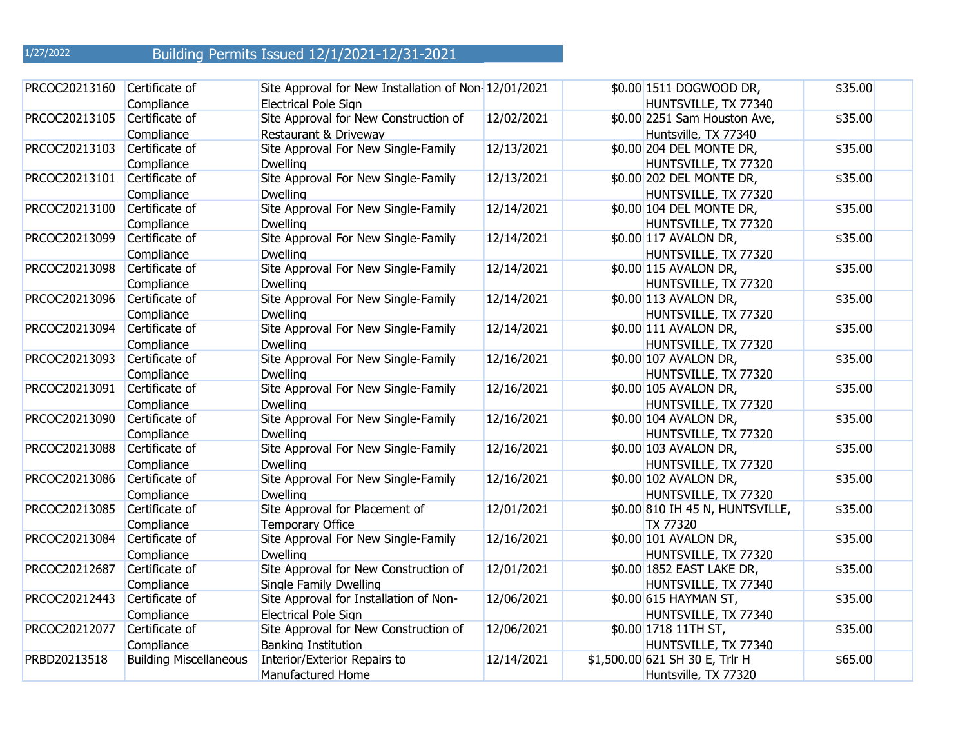| PRCOC20213160 | Certificate of<br>Compliance  | Site Approval for New Installation of Non-12/01/2021<br><b>Electrical Pole Sign</b> |            | \$0.00 1511 DOGWOOD DR,<br>HUNTSVILLE, TX 77340        | \$35.00 |
|---------------|-------------------------------|-------------------------------------------------------------------------------------|------------|--------------------------------------------------------|---------|
| PRCOC20213105 | Certificate of<br>Compliance  | Site Approval for New Construction of<br>Restaurant & Driveway                      | 12/02/2021 | \$0.00 2251 Sam Houston Ave,<br>Huntsville, TX 77340   | \$35.00 |
| PRCOC20213103 | Certificate of<br>Compliance  | Site Approval For New Single-Family<br><b>Dwelling</b>                              | 12/13/2021 | \$0.00 204 DEL MONTE DR,<br>HUNTSVILLE, TX 77320       | \$35.00 |
| PRCOC20213101 | Certificate of<br>Compliance  | Site Approval For New Single-Family<br><b>Dwelling</b>                              | 12/13/2021 | \$0.00 202 DEL MONTE DR,<br>HUNTSVILLE, TX 77320       | \$35.00 |
| PRCOC20213100 | Certificate of<br>Compliance  | Site Approval For New Single-Family<br><b>Dwelling</b>                              | 12/14/2021 | \$0.00 104 DEL MONTE DR,<br>HUNTSVILLE, TX 77320       | \$35.00 |
| PRCOC20213099 | Certificate of<br>Compliance  | Site Approval For New Single-Family<br><b>Dwelling</b>                              | 12/14/2021 | \$0.00 117 AVALON DR,<br>HUNTSVILLE, TX 77320          | \$35.00 |
| PRCOC20213098 | Certificate of<br>Compliance  | Site Approval For New Single-Family<br><b>Dwelling</b>                              | 12/14/2021 | \$0.00 115 AVALON DR,<br>HUNTSVILLE, TX 77320          | \$35.00 |
| PRCOC20213096 | Certificate of<br>Compliance  | Site Approval For New Single-Family<br><b>Dwelling</b>                              | 12/14/2021 | \$0.00 113 AVALON DR,<br>HUNTSVILLE, TX 77320          | \$35.00 |
| PRCOC20213094 | Certificate of<br>Compliance  | Site Approval For New Single-Family<br><b>Dwelling</b>                              | 12/14/2021 | \$0.00 111 AVALON DR,<br>HUNTSVILLE, TX 77320          | \$35.00 |
| PRCOC20213093 | Certificate of<br>Compliance  | Site Approval For New Single-Family<br><b>Dwelling</b>                              | 12/16/2021 | \$0.00 107 AVALON DR,<br>HUNTSVILLE, TX 77320          | \$35.00 |
| PRCOC20213091 | Certificate of<br>Compliance  | Site Approval For New Single-Family<br><b>Dwelling</b>                              | 12/16/2021 | \$0.00 105 AVALON DR,<br>HUNTSVILLE, TX 77320          | \$35.00 |
| PRCOC20213090 | Certificate of<br>Compliance  | Site Approval For New Single-Family<br><b>Dwelling</b>                              | 12/16/2021 | \$0.00 104 AVALON DR,<br>HUNTSVILLE, TX 77320          | \$35.00 |
| PRCOC20213088 | Certificate of<br>Compliance  | Site Approval For New Single-Family<br><b>Dwelling</b>                              | 12/16/2021 | \$0.00 103 AVALON DR,<br>HUNTSVILLE, TX 77320          | \$35.00 |
| PRCOC20213086 | Certificate of<br>Compliance  | Site Approval For New Single-Family<br><b>Dwelling</b>                              | 12/16/2021 | \$0.00 102 AVALON DR,<br>HUNTSVILLE, TX 77320          | \$35.00 |
| PRCOC20213085 | Certificate of<br>Compliance  | Site Approval for Placement of<br><b>Temporary Office</b>                           | 12/01/2021 | \$0.00 810 IH 45 N, HUNTSVILLE,<br>TX 77320            | \$35.00 |
| PRCOC20213084 | Certificate of<br>Compliance  | Site Approval For New Single-Family<br><b>Dwelling</b>                              | 12/16/2021 | \$0.00 101 AVALON DR,<br>HUNTSVILLE, TX 77320          | \$35.00 |
| PRCOC20212687 | Certificate of<br>Compliance  | Site Approval for New Construction of<br>Single Family Dwelling                     | 12/01/2021 | \$0.00 1852 EAST LAKE DR,<br>HUNTSVILLE, TX 77340      | \$35.00 |
| PRCOC20212443 | Certificate of<br>Compliance  | Site Approval for Installation of Non-<br>Electrical Pole Sign                      | 12/06/2021 | \$0.00 615 HAYMAN ST,<br>HUNTSVILLE, TX 77340          | \$35.00 |
| PRCOC20212077 | Certificate of<br>Compliance  | Site Approval for New Construction of<br><b>Banking Institution</b>                 | 12/06/2021 | \$0.00 1718 11TH ST,<br>HUNTSVILLE, TX 77340           | \$35.00 |
| PRBD20213518  | <b>Building Miscellaneous</b> | Interior/Exterior Repairs to<br>Manufactured Home                                   | 12/14/2021 | \$1,500.00 621 SH 30 E, Trlr H<br>Huntsville, TX 77320 | \$65.00 |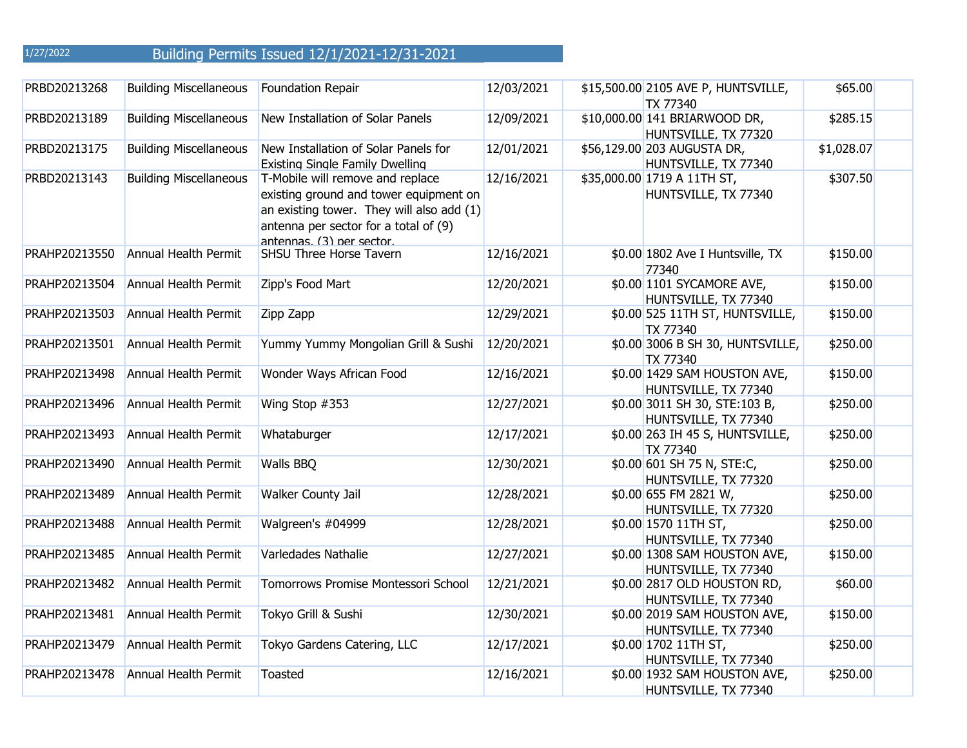| PRBD20213268  | <b>Building Miscellaneous</b> | Foundation Repair                                                                                                                                                                             | 12/03/2021 | \$15,500.00 2105 AVE P, HUNTSVILLE,<br><b>TX 77340</b> | \$65.00    |
|---------------|-------------------------------|-----------------------------------------------------------------------------------------------------------------------------------------------------------------------------------------------|------------|--------------------------------------------------------|------------|
| PRBD20213189  | <b>Building Miscellaneous</b> | New Installation of Solar Panels                                                                                                                                                              | 12/09/2021 | \$10,000.00 141 BRIARWOOD DR,<br>HUNTSVILLE, TX 77320  | \$285.15   |
| PRBD20213175  | <b>Building Miscellaneous</b> | New Installation of Solar Panels for<br><b>Existing Single Family Dwelling</b>                                                                                                                | 12/01/2021 | \$56,129.00 203 AUGUSTA DR,<br>HUNTSVILLE, TX 77340    | \$1,028.07 |
| PRBD20213143  | <b>Building Miscellaneous</b> | T-Mobile will remove and replace<br>existing ground and tower equipment on<br>an existing tower. They will also add (1)<br>antenna per sector for a total of (9)<br>antennas. (3) ner sector. | 12/16/2021 | \$35,000.00 1719 A 11TH ST,<br>HUNTSVILLE, TX 77340    | \$307.50   |
| PRAHP20213550 | Annual Health Permit          | SHSU Three Horse Tavern                                                                                                                                                                       | 12/16/2021 | \$0.00 1802 Ave I Huntsville, TX<br>77340              | \$150.00   |
| PRAHP20213504 | Annual Health Permit          | Zipp's Food Mart                                                                                                                                                                              | 12/20/2021 | \$0.00 1101 SYCAMORE AVE,<br>HUNTSVILLE, TX 77340      | \$150.00   |
| PRAHP20213503 | Annual Health Permit          | Zipp Zapp                                                                                                                                                                                     | 12/29/2021 | \$0.00 525 11TH ST, HUNTSVILLE,<br><b>TX 77340</b>     | \$150.00   |
| PRAHP20213501 | <b>Annual Health Permit</b>   | Yummy Yummy Mongolian Grill & Sushi                                                                                                                                                           | 12/20/2021 | \$0.00 3006 B SH 30, HUNTSVILLE,<br><b>TX 77340</b>    | \$250.00   |
| PRAHP20213498 | Annual Health Permit          | Wonder Ways African Food                                                                                                                                                                      | 12/16/2021 | \$0.00 1429 SAM HOUSTON AVE,<br>HUNTSVILLE, TX 77340   | \$150.00   |
| PRAHP20213496 | Annual Health Permit          | Wing Stop #353                                                                                                                                                                                | 12/27/2021 | \$0.00 3011 SH 30, STE:103 B,<br>HUNTSVILLE, TX 77340  | \$250.00   |
| PRAHP20213493 | Annual Health Permit          | Whataburger                                                                                                                                                                                   | 12/17/2021 | \$0.00 263 IH 45 S, HUNTSVILLE,<br><b>TX 77340</b>     | \$250.00   |
| PRAHP20213490 | Annual Health Permit          | Walls BBQ                                                                                                                                                                                     | 12/30/2021 | \$0.00 601 SH 75 N, STE:C,<br>HUNTSVILLE, TX 77320     | \$250.00   |
| PRAHP20213489 | Annual Health Permit          | Walker County Jail                                                                                                                                                                            | 12/28/2021 | \$0.00 655 FM 2821 W,<br>HUNTSVILLE, TX 77320          | \$250.00   |
| PRAHP20213488 | Annual Health Permit          | Walgreen's #04999                                                                                                                                                                             | 12/28/2021 | \$0.00 1570 11TH ST,<br>HUNTSVILLE, TX 77340           | \$250.00   |
| PRAHP20213485 | Annual Health Permit          | Varledades Nathalie                                                                                                                                                                           | 12/27/2021 | \$0.00 1308 SAM HOUSTON AVE,<br>HUNTSVILLE, TX 77340   | \$150.00   |
| PRAHP20213482 | Annual Health Permit          | Tomorrows Promise Montessori School                                                                                                                                                           | 12/21/2021 | \$0.00 2817 OLD HOUSTON RD,<br>HUNTSVILLE, TX 77340    | \$60.00    |
| PRAHP20213481 | <b>Annual Health Permit</b>   | Tokyo Grill & Sushi                                                                                                                                                                           | 12/30/2021 | \$0.00 2019 SAM HOUSTON AVE,<br>HUNTSVILLE, TX 77340   | \$150.00   |
| PRAHP20213479 | Annual Health Permit          | Tokyo Gardens Catering, LLC                                                                                                                                                                   | 12/17/2021 | \$0.00 1702 11TH ST,<br>HUNTSVILLE, TX 77340           | \$250.00   |
| PRAHP20213478 | Annual Health Permit          | Toasted                                                                                                                                                                                       | 12/16/2021 | \$0.00 1932 SAM HOUSTON AVE,<br>HUNTSVILLE, TX 77340   | \$250.00   |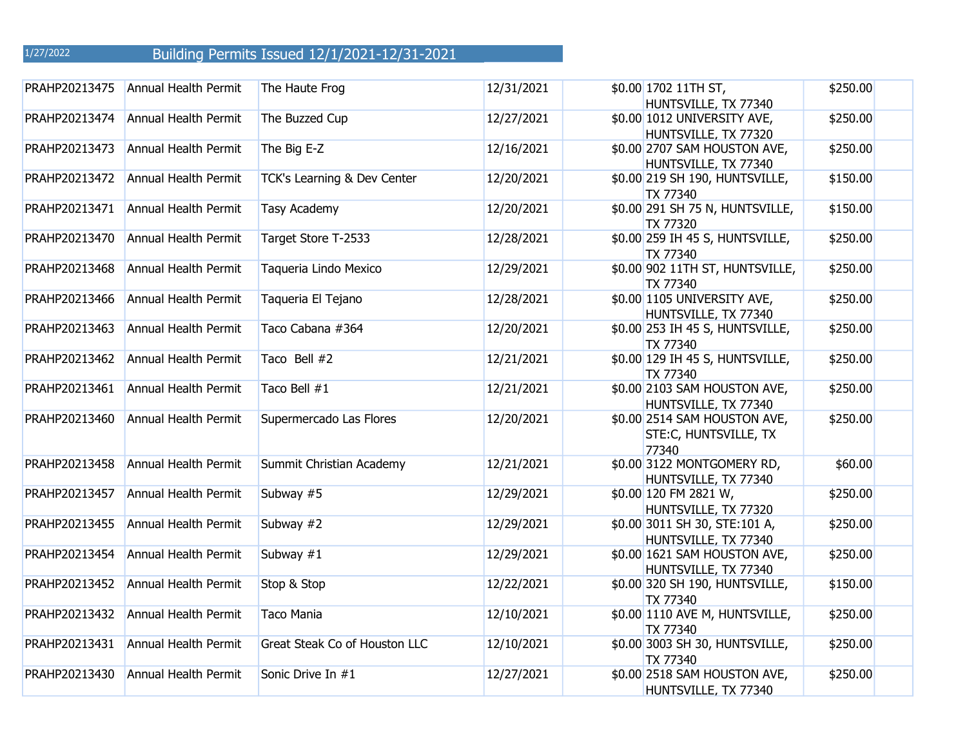| PRAHP20213475 | <b>Annual Health Permit</b> | The Haute Frog                | 12/31/2021 | \$0.00 1702 11TH ST,<br>HUNTSVILLE, TX 77340                   | \$250.00 |
|---------------|-----------------------------|-------------------------------|------------|----------------------------------------------------------------|----------|
| PRAHP20213474 | <b>Annual Health Permit</b> | The Buzzed Cup                | 12/27/2021 | \$0.00 1012 UNIVERSITY AVE,<br>HUNTSVILLE, TX 77320            | \$250.00 |
| PRAHP20213473 | Annual Health Permit        | The Big E-Z                   | 12/16/2021 | \$0.00 2707 SAM HOUSTON AVE,<br>HUNTSVILLE, TX 77340           | \$250.00 |
| PRAHP20213472 | Annual Health Permit        | TCK's Learning & Dev Center   | 12/20/2021 | \$0.00 219 SH 190, HUNTSVILLE,<br><b>TX 77340</b>              | \$150.00 |
| PRAHP20213471 | Annual Health Permit        | <b>Tasy Academy</b>           | 12/20/2021 | \$0.00 291 SH 75 N, HUNTSVILLE,<br><b>TX 77320</b>             | \$150.00 |
| PRAHP20213470 | Annual Health Permit        | Target Store T-2533           | 12/28/2021 | \$0.00 259 IH 45 S, HUNTSVILLE,<br><b>TX 77340</b>             | \$250.00 |
| PRAHP20213468 | Annual Health Permit        | Taqueria Lindo Mexico         | 12/29/2021 | \$0.00 902 11TH ST, HUNTSVILLE,<br><b>TX 77340</b>             | \$250.00 |
| PRAHP20213466 | Annual Health Permit        | Taqueria El Tejano            | 12/28/2021 | \$0.00 1105 UNIVERSITY AVE,<br>HUNTSVILLE, TX 77340            | \$250.00 |
| PRAHP20213463 | Annual Health Permit        | Taco Cabana #364              | 12/20/2021 | \$0.00 253 IH 45 S, HUNTSVILLE,<br><b>TX 77340</b>             | \$250.00 |
| PRAHP20213462 | Annual Health Permit        | Taco Bell #2                  | 12/21/2021 | \$0.00 129 IH 45 S, HUNTSVILLE,<br><b>TX 77340</b>             | \$250.00 |
| PRAHP20213461 | Annual Health Permit        | Taco Bell #1                  | 12/21/2021 | \$0.00 2103 SAM HOUSTON AVE,<br>HUNTSVILLE, TX 77340           | \$250.00 |
| PRAHP20213460 | Annual Health Permit        | Supermercado Las Flores       | 12/20/2021 | \$0.00 2514 SAM HOUSTON AVE,<br>STE:C, HUNTSVILLE, TX<br>77340 | \$250.00 |
| PRAHP20213458 | Annual Health Permit        | Summit Christian Academy      | 12/21/2021 | \$0.00 3122 MONTGOMERY RD,<br>HUNTSVILLE, TX 77340             | \$60.00  |
| PRAHP20213457 | Annual Health Permit        | Subway #5                     | 12/29/2021 | \$0.00 120 FM 2821 W,<br>HUNTSVILLE, TX 77320                  | \$250.00 |
| PRAHP20213455 | Annual Health Permit        | Subway #2                     | 12/29/2021 | \$0.00 3011 SH 30, STE:101 A,<br>HUNTSVILLE, TX 77340          | \$250.00 |
| PRAHP20213454 | Annual Health Permit        | Subway $#1$                   | 12/29/2021 | \$0.00 1621 SAM HOUSTON AVE,<br>HUNTSVILLE, TX 77340           | \$250.00 |
| PRAHP20213452 | Annual Health Permit        | Stop & Stop                   | 12/22/2021 | \$0.00 320 SH 190, HUNTSVILLE,<br><b>TX 77340</b>              | \$150.00 |
| PRAHP20213432 | Annual Health Permit        | <b>Taco Mania</b>             | 12/10/2021 | \$0.00 1110 AVE M, HUNTSVILLE,<br><b>TX 77340</b>              | \$250.00 |
| PRAHP20213431 | Annual Health Permit        | Great Steak Co of Houston LLC | 12/10/2021 | \$0.00 3003 SH 30, HUNTSVILLE,<br><b>TX 77340</b>              | \$250.00 |
| PRAHP20213430 | Annual Health Permit        | Sonic Drive In #1             | 12/27/2021 | \$0.00 2518 SAM HOUSTON AVE,<br>HUNTSVILLE, TX 77340           | \$250.00 |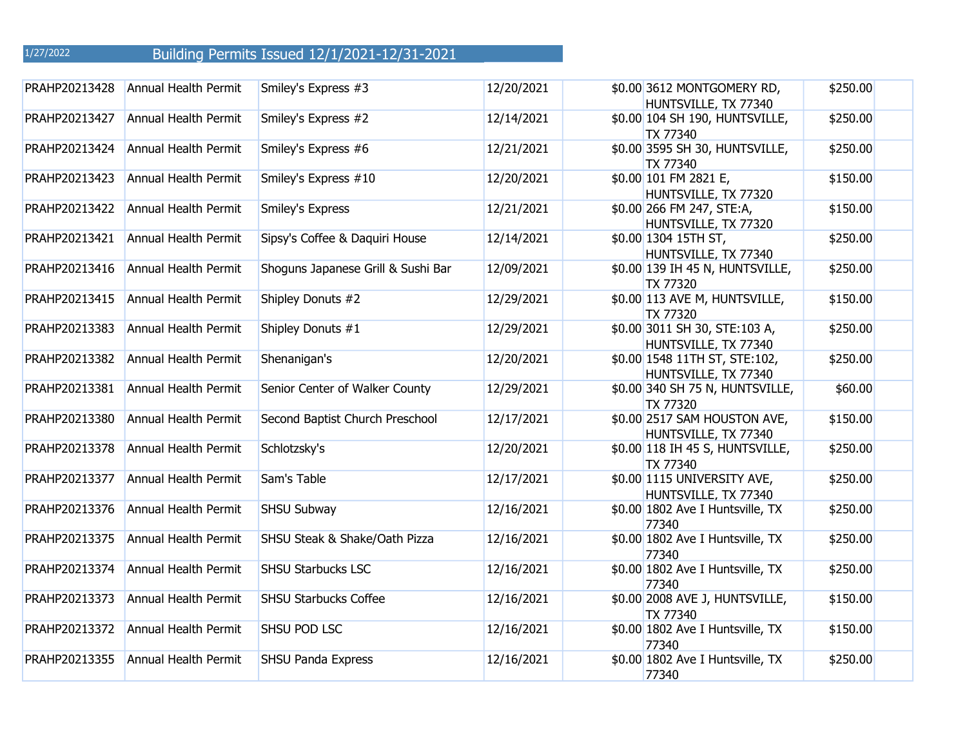| PRAHP20213428 | Annual Health Permit        | Smiley's Express #3                | 12/20/2021 | \$0.00 3612 MONTGOMERY RD,<br>HUNTSVILLE, TX 77340    | \$250.00 |
|---------------|-----------------------------|------------------------------------|------------|-------------------------------------------------------|----------|
| PRAHP20213427 | Annual Health Permit        | Smiley's Express #2                | 12/14/2021 | \$0.00 104 SH 190, HUNTSVILLE,<br><b>TX 77340</b>     | \$250.00 |
| PRAHP20213424 | Annual Health Permit        | Smiley's Express #6                | 12/21/2021 | \$0.00 3595 SH 30, HUNTSVILLE,<br><b>TX 77340</b>     | \$250.00 |
| PRAHP20213423 | Annual Health Permit        | Smiley's Express #10               | 12/20/2021 | \$0.00 101 FM 2821 E,<br>HUNTSVILLE, TX 77320         | \$150.00 |
| PRAHP20213422 | <b>Annual Health Permit</b> | Smiley's Express                   | 12/21/2021 | \$0.00 266 FM 247, STE:A,<br>HUNTSVILLE, TX 77320     | \$150.00 |
| PRAHP20213421 | Annual Health Permit        | Sipsy's Coffee & Daquiri House     | 12/14/2021 | \$0.00 1304 15TH ST,<br>HUNTSVILLE, TX 77340          | \$250.00 |
| PRAHP20213416 | Annual Health Permit        | Shoguns Japanese Grill & Sushi Bar | 12/09/2021 | \$0.00 139 IH 45 N, HUNTSVILLE,<br><b>TX 77320</b>    | \$250.00 |
| PRAHP20213415 | Annual Health Permit        | Shipley Donuts #2                  | 12/29/2021 | \$0.00 113 AVE M, HUNTSVILLE,<br><b>TX 77320</b>      | \$150.00 |
| PRAHP20213383 | Annual Health Permit        | Shipley Donuts #1                  | 12/29/2021 | \$0.00 3011 SH 30, STE:103 A,<br>HUNTSVILLE, TX 77340 | \$250.00 |
| PRAHP20213382 | Annual Health Permit        | Shenanigan's                       | 12/20/2021 | \$0.00 1548 11TH ST, STE:102,<br>HUNTSVILLE, TX 77340 | \$250.00 |
| PRAHP20213381 | <b>Annual Health Permit</b> | Senior Center of Walker County     | 12/29/2021 | \$0.00 340 SH 75 N, HUNTSVILLE,<br><b>TX 77320</b>    | \$60.00  |
| PRAHP20213380 | Annual Health Permit        | Second Baptist Church Preschool    | 12/17/2021 | \$0.00 2517 SAM HOUSTON AVE,<br>HUNTSVILLE, TX 77340  | \$150.00 |
| PRAHP20213378 | Annual Health Permit        | Schlotzsky's                       | 12/20/2021 | \$0.00 118 IH 45 S, HUNTSVILLE,<br><b>TX 77340</b>    | \$250.00 |
| PRAHP20213377 | Annual Health Permit        | Sam's Table                        | 12/17/2021 | \$0.00 1115 UNIVERSITY AVE,<br>HUNTSVILLE, TX 77340   | \$250.00 |
| PRAHP20213376 | Annual Health Permit        | SHSU Subway                        | 12/16/2021 | \$0.00 1802 Ave I Huntsville, TX<br>77340             | \$250.00 |
| PRAHP20213375 | Annual Health Permit        | SHSU Steak & Shake/Oath Pizza      | 12/16/2021 | \$0.00 1802 Ave I Huntsville, TX<br>77340             | \$250.00 |
| PRAHP20213374 | Annual Health Permit        | <b>SHSU Starbucks LSC</b>          | 12/16/2021 | \$0.00 1802 Ave I Huntsville, TX<br>77340             | \$250.00 |
| PRAHP20213373 | Annual Health Permit        | <b>SHSU Starbucks Coffee</b>       | 12/16/2021 | \$0.00 2008 AVE J, HUNTSVILLE,<br><b>TX 77340</b>     | \$150.00 |
| PRAHP20213372 | <b>Annual Health Permit</b> | SHSU POD LSC                       | 12/16/2021 | \$0.00 1802 Ave I Huntsville, TX<br>77340             | \$150.00 |
| PRAHP20213355 | <b>Annual Health Permit</b> | <b>SHSU Panda Express</b>          | 12/16/2021 | \$0.00 1802 Ave I Huntsville, TX<br>77340             | \$250.00 |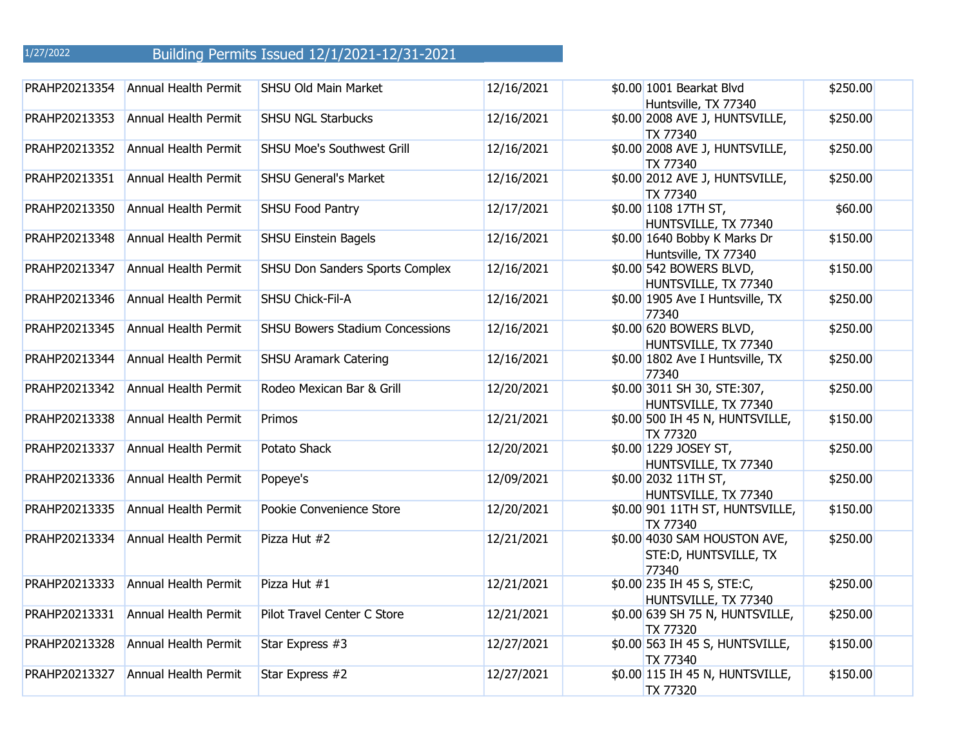| PRAHP20213354 | Annual Health Permit        | SHSU Old Main Market                   | 12/16/2021 | \$0.00 1001 Bearkat Blvd<br>Huntsville, TX 77340                | \$250.00 |
|---------------|-----------------------------|----------------------------------------|------------|-----------------------------------------------------------------|----------|
| PRAHP20213353 | <b>Annual Health Permit</b> | <b>SHSU NGL Starbucks</b>              | 12/16/2021 | \$0.00 2008 AVE J, HUNTSVILLE,<br>TX 77340                      | \$250.00 |
| PRAHP20213352 | Annual Health Permit        | <b>SHSU Moe's Southwest Grill</b>      | 12/16/2021 | \$0.00 2008 AVE J, HUNTSVILLE,<br><b>TX 77340</b>               | \$250.00 |
| PRAHP20213351 | Annual Health Permit        | <b>SHSU General's Market</b>           | 12/16/2021 | \$0.00 2012 AVE J, HUNTSVILLE,<br>TX 77340                      | \$250.00 |
| PRAHP20213350 | <b>Annual Health Permit</b> | <b>SHSU Food Pantry</b>                | 12/17/2021 | \$0.00 1108 17TH ST,<br>HUNTSVILLE, TX 77340                    | \$60.00  |
| PRAHP20213348 | Annual Health Permit        | <b>SHSU Einstein Bagels</b>            | 12/16/2021 | \$0.00 1640 Bobby K Marks Dr<br>Huntsville, TX 77340            | \$150.00 |
| PRAHP20213347 | <b>Annual Health Permit</b> | SHSU Don Sanders Sports Complex        | 12/16/2021 | \$0.00 542 BOWERS BLVD,<br>HUNTSVILLE, TX 77340                 | \$150.00 |
| PRAHP20213346 | <b>Annual Health Permit</b> | <b>SHSU Chick-Fil-A</b>                | 12/16/2021 | \$0.00 1905 Ave I Huntsville, TX<br>77340                       | \$250.00 |
| PRAHP20213345 | Annual Health Permit        | <b>SHSU Bowers Stadium Concessions</b> | 12/16/2021 | \$0.00 620 BOWERS BLVD,<br>HUNTSVILLE, TX 77340                 | \$250.00 |
| PRAHP20213344 | <b>Annual Health Permit</b> | <b>SHSU Aramark Catering</b>           | 12/16/2021 | \$0.00 1802 Ave I Huntsville, TX<br>77340                       | \$250.00 |
| PRAHP20213342 | Annual Health Permit        | Rodeo Mexican Bar & Grill              | 12/20/2021 | \$0.00 3011 SH 30, STE:307,<br>HUNTSVILLE, TX 77340             | \$250.00 |
| PRAHP20213338 | Annual Health Permit        | Primos                                 | 12/21/2021 | \$0.00 500 IH 45 N, HUNTSVILLE,<br><b>TX 77320</b>              | \$150.00 |
| PRAHP20213337 | <b>Annual Health Permit</b> | Potato Shack                           | 12/20/2021 | \$0.00 1229 JOSEY ST,<br>HUNTSVILLE, TX 77340                   | \$250.00 |
| PRAHP20213336 | Annual Health Permit        | Popeye's                               | 12/09/2021 | \$0.00 2032 11TH ST,<br>HUNTSVILLE, TX 77340                    | \$250.00 |
| PRAHP20213335 | <b>Annual Health Permit</b> | Pookie Convenience Store               | 12/20/2021 | \$0.00 901 11TH ST, HUNTSVILLE,<br><b>TX 77340</b>              | \$150.00 |
| PRAHP20213334 | Annual Health Permit        | Pizza Hut #2                           | 12/21/2021 | \$0.00 4030 SAM HOUSTON AVE,<br>STE: D, HUNTSVILLE, TX<br>77340 | \$250.00 |
| PRAHP20213333 | Annual Health Permit        | Pizza Hut #1                           | 12/21/2021 | \$0.00 235 IH 45 S, STE:C,<br>HUNTSVILLE, TX 77340              | \$250.00 |
| PRAHP20213331 | <b>Annual Health Permit</b> | Pilot Travel Center C Store            | 12/21/2021 | \$0.00 639 SH 75 N, HUNTSVILLE,<br>TX 77320                     | \$250.00 |
| PRAHP20213328 | <b>Annual Health Permit</b> | Star Express #3                        | 12/27/2021 | \$0.00 563 IH 45 S, HUNTSVILLE,<br><b>TX 77340</b>              | \$150.00 |
| PRAHP20213327 | Annual Health Permit        | Star Express #2                        | 12/27/2021 | \$0.00 115 IH 45 N, HUNTSVILLE,<br><b>TX 77320</b>              | \$150.00 |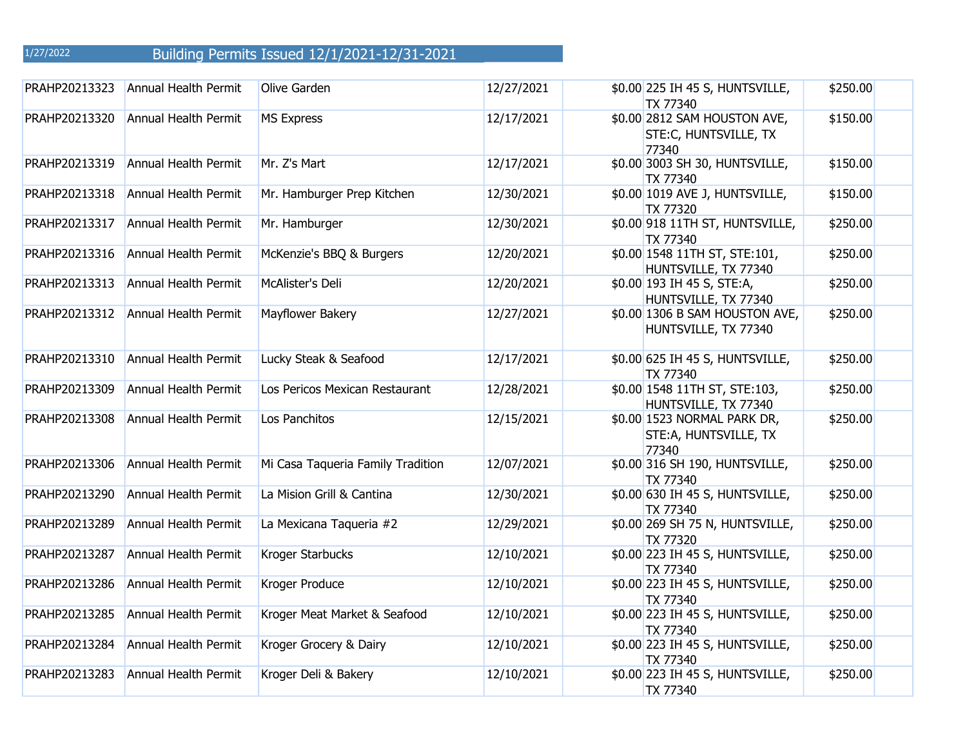| PRAHP20213323 | <b>Annual Health Permit</b> | Olive Garden                      | 12/27/2021 | \$0.00 225 IH 45 S, HUNTSVILLE,<br><b>TX 77340</b>             | \$250.00 |
|---------------|-----------------------------|-----------------------------------|------------|----------------------------------------------------------------|----------|
| PRAHP20213320 | <b>Annual Health Permit</b> | <b>MS Express</b>                 | 12/17/2021 | \$0.00 2812 SAM HOUSTON AVE,<br>STE:C, HUNTSVILLE, TX<br>77340 | \$150.00 |
| PRAHP20213319 | <b>Annual Health Permit</b> | Mr. Z's Mart                      | 12/17/2021 | \$0.00 3003 SH 30, HUNTSVILLE,<br><b>TX 77340</b>              | \$150.00 |
| PRAHP20213318 | Annual Health Permit        | Mr. Hamburger Prep Kitchen        | 12/30/2021 | \$0.00 1019 AVE J, HUNTSVILLE,<br><b>TX 77320</b>              | \$150.00 |
| PRAHP20213317 | Annual Health Permit        | Mr. Hamburger                     | 12/30/2021 | \$0.00 918 11TH ST, HUNTSVILLE,<br><b>TX 77340</b>             | \$250.00 |
| PRAHP20213316 | Annual Health Permit        | McKenzie's BBQ & Burgers          | 12/20/2021 | \$0.00 1548 11TH ST, STE:101,<br>HUNTSVILLE, TX 77340          | \$250.00 |
| PRAHP20213313 | Annual Health Permit        | McAlister's Deli                  | 12/20/2021 | \$0.00 193 IH 45 S, STE:A,<br>HUNTSVILLE, TX 77340             | \$250.00 |
| PRAHP20213312 | Annual Health Permit        | Mayflower Bakery                  | 12/27/2021 | \$0.00 1306 B SAM HOUSTON AVE,<br>HUNTSVILLE, TX 77340         | \$250.00 |
| PRAHP20213310 | <b>Annual Health Permit</b> | Lucky Steak & Seafood             | 12/17/2021 | \$0.00 625 IH 45 S, HUNTSVILLE,<br><b>TX 77340</b>             | \$250.00 |
| PRAHP20213309 | Annual Health Permit        | Los Pericos Mexican Restaurant    | 12/28/2021 | \$0.00 1548 11TH ST, STE:103,<br>HUNTSVILLE, TX 77340          | \$250.00 |
| PRAHP20213308 | <b>Annual Health Permit</b> | Los Panchitos                     | 12/15/2021 | \$0.00 1523 NORMAL PARK DR,<br>STE:A, HUNTSVILLE, TX<br>77340  | \$250.00 |
| PRAHP20213306 | Annual Health Permit        | Mi Casa Taqueria Family Tradition | 12/07/2021 | \$0.00 316 SH 190, HUNTSVILLE,<br><b>TX 77340</b>              | \$250.00 |
| PRAHP20213290 | Annual Health Permit        | La Mision Grill & Cantina         | 12/30/2021 | \$0.00 630 IH 45 S, HUNTSVILLE,<br><b>TX 77340</b>             | \$250.00 |
| PRAHP20213289 | Annual Health Permit        | La Mexicana Taqueria #2           | 12/29/2021 | \$0.00 269 SH 75 N, HUNTSVILLE,<br><b>TX 77320</b>             | \$250.00 |
| PRAHP20213287 | Annual Health Permit        | Kroger Starbucks                  | 12/10/2021 | \$0.00 223 IH 45 S, HUNTSVILLE,<br><b>TX 77340</b>             | \$250.00 |
| PRAHP20213286 | Annual Health Permit        | Kroger Produce                    | 12/10/2021 | \$0.00 223 IH 45 S, HUNTSVILLE,<br><b>TX 77340</b>             | \$250.00 |
| PRAHP20213285 | Annual Health Permit        | Kroger Meat Market & Seafood      | 12/10/2021 | \$0.00 223 IH 45 S, HUNTSVILLE,<br><b>TX 77340</b>             | \$250.00 |
| PRAHP20213284 | Annual Health Permit        | Kroger Grocery & Dairy            | 12/10/2021 | \$0.00 223 IH 45 S, HUNTSVILLE,<br><b>TX 77340</b>             | \$250.00 |
| PRAHP20213283 | Annual Health Permit        | Kroger Deli & Bakery              | 12/10/2021 | \$0.00 223 IH 45 S, HUNTSVILLE,<br><b>TX 77340</b>             | \$250.00 |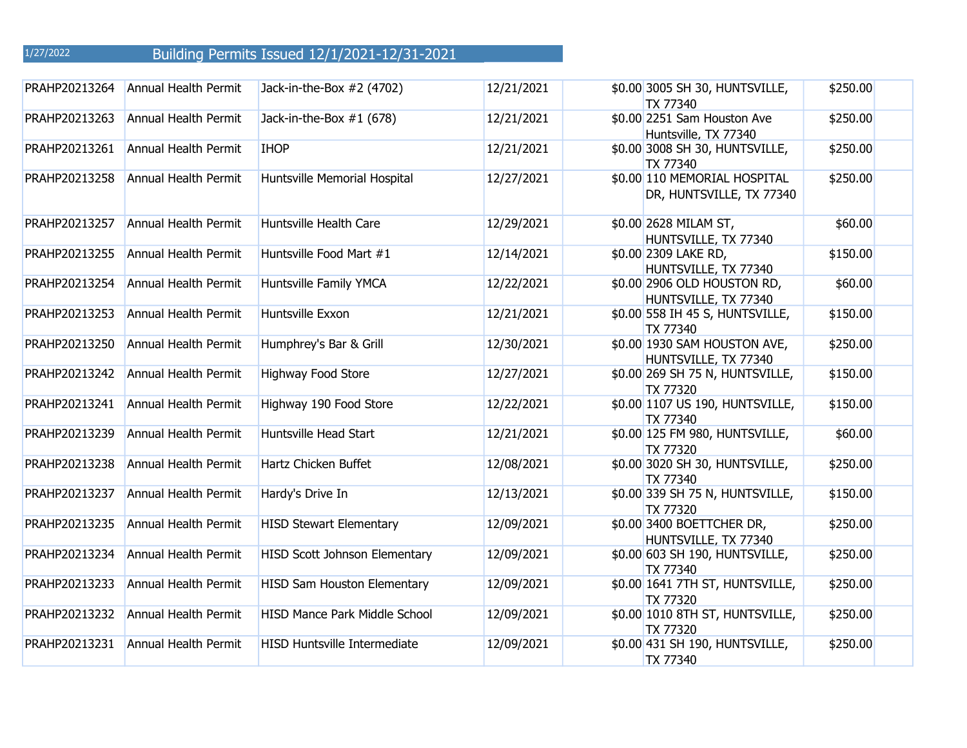| PRAHP20213264 | <b>Annual Health Permit</b> | Jack-in-the-Box #2 (4702)           | 12/21/2021 | \$0.00 3005 SH 30, HUNTSVILLE,<br>TX 77340               | \$250.00 |
|---------------|-----------------------------|-------------------------------------|------------|----------------------------------------------------------|----------|
| PRAHP20213263 | Annual Health Permit        | Jack-in-the-Box $#1(678)$           | 12/21/2021 | \$0.00 2251 Sam Houston Ave<br>Huntsville, TX 77340      | \$250.00 |
| PRAHP20213261 | Annual Health Permit        | <b>IHOP</b>                         | 12/21/2021 | \$0.00 3008 SH 30, HUNTSVILLE,<br><b>TX 77340</b>        | \$250.00 |
| PRAHP20213258 | <b>Annual Health Permit</b> | Huntsville Memorial Hospital        | 12/27/2021 | \$0.00 110 MEMORIAL HOSPITAL<br>DR, HUNTSVILLE, TX 77340 | \$250.00 |
| PRAHP20213257 | <b>Annual Health Permit</b> | Huntsville Health Care              | 12/29/2021 | \$0.00 2628 MILAM ST,<br>HUNTSVILLE, TX 77340            | \$60.00  |
| PRAHP20213255 | <b>Annual Health Permit</b> | Huntsville Food Mart #1             | 12/14/2021 | \$0.00 2309 LAKE RD,<br>HUNTSVILLE, TX 77340             | \$150.00 |
| PRAHP20213254 | <b>Annual Health Permit</b> | Huntsville Family YMCA              | 12/22/2021 | \$0.00 2906 OLD HOUSTON RD,<br>HUNTSVILLE, TX 77340      | \$60.00  |
| PRAHP20213253 | <b>Annual Health Permit</b> | Huntsville Exxon                    | 12/21/2021 | \$0.00 558 IH 45 S, HUNTSVILLE,<br><b>TX 77340</b>       | \$150.00 |
| PRAHP20213250 | Annual Health Permit        | Humphrey's Bar & Grill              | 12/30/2021 | \$0.00 1930 SAM HOUSTON AVE,<br>HUNTSVILLE, TX 77340     | \$250.00 |
| PRAHP20213242 | Annual Health Permit        | Highway Food Store                  | 12/27/2021 | \$0.00 269 SH 75 N, HUNTSVILLE,<br><b>TX 77320</b>       | \$150.00 |
| PRAHP20213241 | Annual Health Permit        | Highway 190 Food Store              | 12/22/2021 | \$0.00 1107 US 190, HUNTSVILLE,<br><b>TX 77340</b>       | \$150.00 |
| PRAHP20213239 | Annual Health Permit        | Huntsville Head Start               | 12/21/2021 | \$0.00 125 FM 980, HUNTSVILLE,<br><b>TX 77320</b>        | \$60.00  |
| PRAHP20213238 | Annual Health Permit        | Hartz Chicken Buffet                | 12/08/2021 | \$0.00 3020 SH 30, HUNTSVILLE,<br><b>TX 77340</b>        | \$250.00 |
| PRAHP20213237 | <b>Annual Health Permit</b> | Hardy's Drive In                    | 12/13/2021 | \$0.00 339 SH 75 N, HUNTSVILLE,<br><b>TX 77320</b>       | \$150.00 |
| PRAHP20213235 | Annual Health Permit        | <b>HISD Stewart Elementary</b>      | 12/09/2021 | \$0.00 3400 BOETTCHER DR,<br>HUNTSVILLE, TX 77340        | \$250.00 |
| PRAHP20213234 | <b>Annual Health Permit</b> | HISD Scott Johnson Elementary       | 12/09/2021 | \$0.00 603 SH 190, HUNTSVILLE,<br><b>TX 77340</b>        | \$250.00 |
| PRAHP20213233 | <b>Annual Health Permit</b> | HISD Sam Houston Elementary         | 12/09/2021 | \$0.00 1641 7TH ST, HUNTSVILLE,<br><b>TX 77320</b>       | \$250.00 |
| PRAHP20213232 | Annual Health Permit        | HISD Mance Park Middle School       | 12/09/2021 | \$0.00 1010 8TH ST, HUNTSVILLE,<br><b>TX 77320</b>       | \$250.00 |
| PRAHP20213231 | <b>Annual Health Permit</b> | <b>HISD Huntsville Intermediate</b> | 12/09/2021 | \$0.00 431 SH 190, HUNTSVILLE,<br><b>TX 77340</b>        | \$250.00 |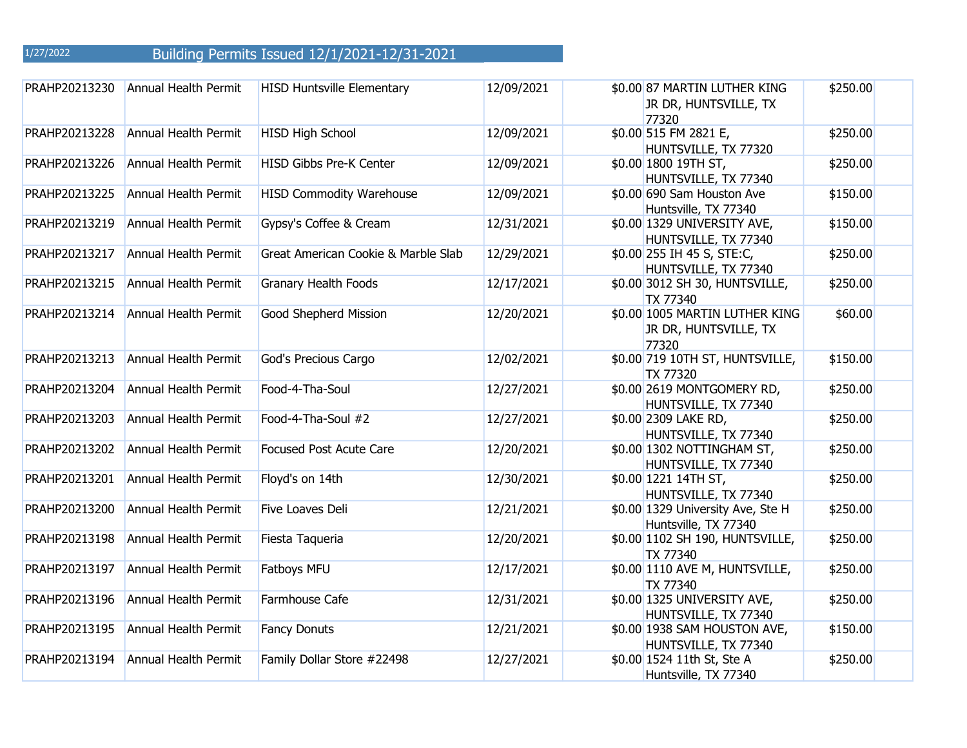| PRAHP20213230 | Annual Health Permit        | <b>HISD Huntsville Elementary</b>   | 12/09/2021 | \$0.00 87 MARTIN LUTHER KING<br>JR DR, HUNTSVILLE, TX<br>77320   | \$250.00 |
|---------------|-----------------------------|-------------------------------------|------------|------------------------------------------------------------------|----------|
| PRAHP20213228 | <b>Annual Health Permit</b> | <b>HISD High School</b>             | 12/09/2021 | \$0.00 515 FM 2821 E,<br>HUNTSVILLE, TX 77320                    | \$250.00 |
| PRAHP20213226 | <b>Annual Health Permit</b> | <b>HISD Gibbs Pre-K Center</b>      | 12/09/2021 | \$0.00 1800 19TH ST,<br>HUNTSVILLE, TX 77340                     | \$250.00 |
| PRAHP20213225 | <b>Annual Health Permit</b> | <b>HISD Commodity Warehouse</b>     | 12/09/2021 | \$0.00 690 Sam Houston Ave<br>Huntsville, TX 77340               | \$150.00 |
| PRAHP20213219 | <b>Annual Health Permit</b> | Gypsy's Coffee & Cream              | 12/31/2021 | \$0.00 1329 UNIVERSITY AVE,<br>HUNTSVILLE, TX 77340              | \$150.00 |
| PRAHP20213217 | <b>Annual Health Permit</b> | Great American Cookie & Marble Slab | 12/29/2021 | \$0.00 255 IH 45 S, STE:C,<br>HUNTSVILLE, TX 77340               | \$250.00 |
| PRAHP20213215 | Annual Health Permit        | <b>Granary Health Foods</b>         | 12/17/2021 | \$0.00 3012 SH 30, HUNTSVILLE,<br>TX 77340                       | \$250.00 |
| PRAHP20213214 | Annual Health Permit        | Good Shepherd Mission               | 12/20/2021 | \$0.00 1005 MARTIN LUTHER KING<br>JR DR, HUNTSVILLE, TX<br>77320 | \$60.00  |
| PRAHP20213213 | <b>Annual Health Permit</b> | God's Precious Cargo                | 12/02/2021 | \$0.00 719 10TH ST, HUNTSVILLE,<br><b>TX 77320</b>               | \$150.00 |
| PRAHP20213204 | <b>Annual Health Permit</b> | Food-4-Tha-Soul                     | 12/27/2021 | \$0.00 2619 MONTGOMERY RD,<br>HUNTSVILLE, TX 77340               | \$250.00 |
| PRAHP20213203 | <b>Annual Health Permit</b> | Food-4-Tha-Soul #2                  | 12/27/2021 | \$0.00 2309 LAKE RD,<br>HUNTSVILLE, TX 77340                     | \$250.00 |
| PRAHP20213202 | <b>Annual Health Permit</b> | <b>Focused Post Acute Care</b>      | 12/20/2021 | \$0.00 1302 NOTTINGHAM ST,<br>HUNTSVILLE, TX 77340               | \$250.00 |
| PRAHP20213201 | Annual Health Permit        | Floyd's on 14th                     | 12/30/2021 | \$0.00 1221 14TH ST,<br>HUNTSVILLE, TX 77340                     | \$250.00 |
| PRAHP20213200 | Annual Health Permit        | Five Loaves Deli                    | 12/21/2021 | \$0.00 1329 University Ave, Ste H<br>Huntsville, TX 77340        | \$250.00 |
| PRAHP20213198 | Annual Health Permit        | Fiesta Taqueria                     | 12/20/2021 | \$0.00 1102 SH 190, HUNTSVILLE,<br>TX 77340                      | \$250.00 |
| PRAHP20213197 | <b>Annual Health Permit</b> | Fatboys MFU                         | 12/17/2021 | \$0.00 1110 AVE M, HUNTSVILLE,<br><b>TX 77340</b>                | \$250.00 |
| PRAHP20213196 | Annual Health Permit        | Farmhouse Cafe                      | 12/31/2021 | \$0.00 1325 UNIVERSITY AVE,<br>HUNTSVILLE, TX 77340              | \$250.00 |
| PRAHP20213195 | <b>Annual Health Permit</b> | <b>Fancy Donuts</b>                 | 12/21/2021 | \$0.00 1938 SAM HOUSTON AVE,<br>HUNTSVILLE, TX 77340             | \$150.00 |
| PRAHP20213194 | <b>Annual Health Permit</b> | Family Dollar Store #22498          | 12/27/2021 | \$0.00 1524 11th St, Ste A<br>Huntsville, TX 77340               | \$250.00 |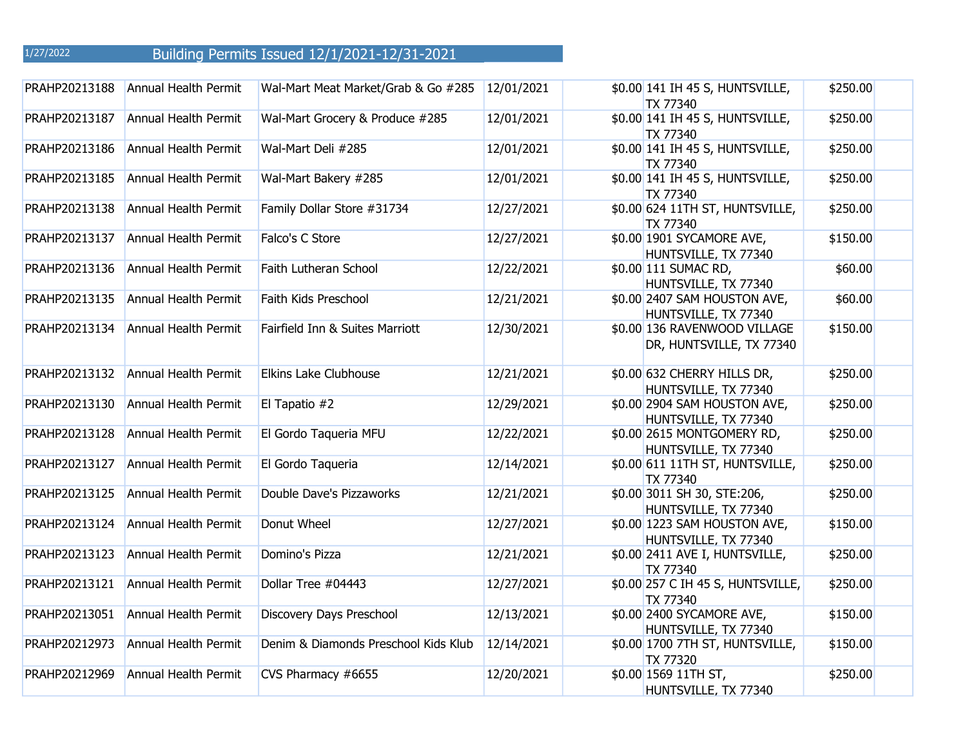| PRAHP20213188 | Annual Health Permit        | Wal-Mart Meat Market/Grab & Go #285  | 12/01/2021 | \$0.00 141 IH 45 S, HUNTSVILLE,<br>TX 77340              | \$250.00 |
|---------------|-----------------------------|--------------------------------------|------------|----------------------------------------------------------|----------|
| PRAHP20213187 | <b>Annual Health Permit</b> | Wal-Mart Grocery & Produce #285      | 12/01/2021 | \$0.00 141 IH 45 S, HUNTSVILLE,<br>TX 77340              | \$250.00 |
| PRAHP20213186 | Annual Health Permit        | Wal-Mart Deli #285                   | 12/01/2021 | \$0.00 141 IH 45 S, HUNTSVILLE,<br>TX 77340              | \$250.00 |
| PRAHP20213185 | Annual Health Permit        | Wal-Mart Bakery #285                 | 12/01/2021 | \$0.00 141 IH 45 S, HUNTSVILLE,<br>TX 77340              | \$250.00 |
| PRAHP20213138 | Annual Health Permit        | Family Dollar Store #31734           | 12/27/2021 | \$0.00 624 11TH ST, HUNTSVILLE,<br>TX 77340              | \$250.00 |
| PRAHP20213137 | Annual Health Permit        | Falco's C Store                      | 12/27/2021 | \$0.00 1901 SYCAMORE AVE,<br>HUNTSVILLE, TX 77340        | \$150.00 |
| PRAHP20213136 | Annual Health Permit        | Faith Lutheran School                | 12/22/2021 | \$0.00 111 SUMAC RD,<br>HUNTSVILLE, TX 77340             | \$60.00  |
| PRAHP20213135 | Annual Health Permit        | Faith Kids Preschool                 | 12/21/2021 | \$0.00 2407 SAM HOUSTON AVE,<br>HUNTSVILLE, TX 77340     | \$60.00  |
| PRAHP20213134 | Annual Health Permit        | Fairfield Inn & Suites Marriott      | 12/30/2021 | \$0.00 136 RAVENWOOD VILLAGE<br>DR, HUNTSVILLE, TX 77340 | \$150.00 |
| PRAHP20213132 | <b>Annual Health Permit</b> | Elkins Lake Clubhouse                | 12/21/2021 | \$0.00 632 CHERRY HILLS DR,<br>HUNTSVILLE, TX 77340      | \$250.00 |
| PRAHP20213130 | Annual Health Permit        | El Tapatio #2                        | 12/29/2021 | \$0.00 2904 SAM HOUSTON AVE,<br>HUNTSVILLE, TX 77340     | \$250.00 |
| PRAHP20213128 | Annual Health Permit        | El Gordo Taqueria MFU                | 12/22/2021 | \$0.00 2615 MONTGOMERY RD,<br>HUNTSVILLE, TX 77340       | \$250.00 |
| PRAHP20213127 | <b>Annual Health Permit</b> | El Gordo Taqueria                    | 12/14/2021 | \$0.00 611 11TH ST, HUNTSVILLE,<br>TX 77340              | \$250.00 |
| PRAHP20213125 | <b>Annual Health Permit</b> | Double Dave's Pizzaworks             | 12/21/2021 | \$0.00 3011 SH 30, STE:206,<br>HUNTSVILLE, TX 77340      | \$250.00 |
| PRAHP20213124 | Annual Health Permit        | Donut Wheel                          | 12/27/2021 | \$0.00 1223 SAM HOUSTON AVE,<br>HUNTSVILLE, TX 77340     | \$150.00 |
| PRAHP20213123 | <b>Annual Health Permit</b> | Domino's Pizza                       | 12/21/2021 | \$0.00 2411 AVE I, HUNTSVILLE,<br>TX 77340               | \$250.00 |
| PRAHP20213121 | Annual Health Permit        | Dollar Tree #04443                   | 12/27/2021 | \$0.00 257 C IH 45 S, HUNTSVILLE,<br>TX 77340            | \$250.00 |
| PRAHP20213051 | <b>Annual Health Permit</b> | Discovery Days Preschool             | 12/13/2021 | \$0.00 2400 SYCAMORE AVE,<br>HUNTSVILLE, TX 77340        | \$150.00 |
| PRAHP20212973 | Annual Health Permit        | Denim & Diamonds Preschool Kids Klub | 12/14/2021 | \$0.00 1700 7TH ST, HUNTSVILLE,<br><b>TX 77320</b>       | \$150.00 |
| PRAHP20212969 | Annual Health Permit        | CVS Pharmacy #6655                   | 12/20/2021 | \$0.00 1569 11TH ST,<br>HUNTSVILLE, TX 77340             | \$250.00 |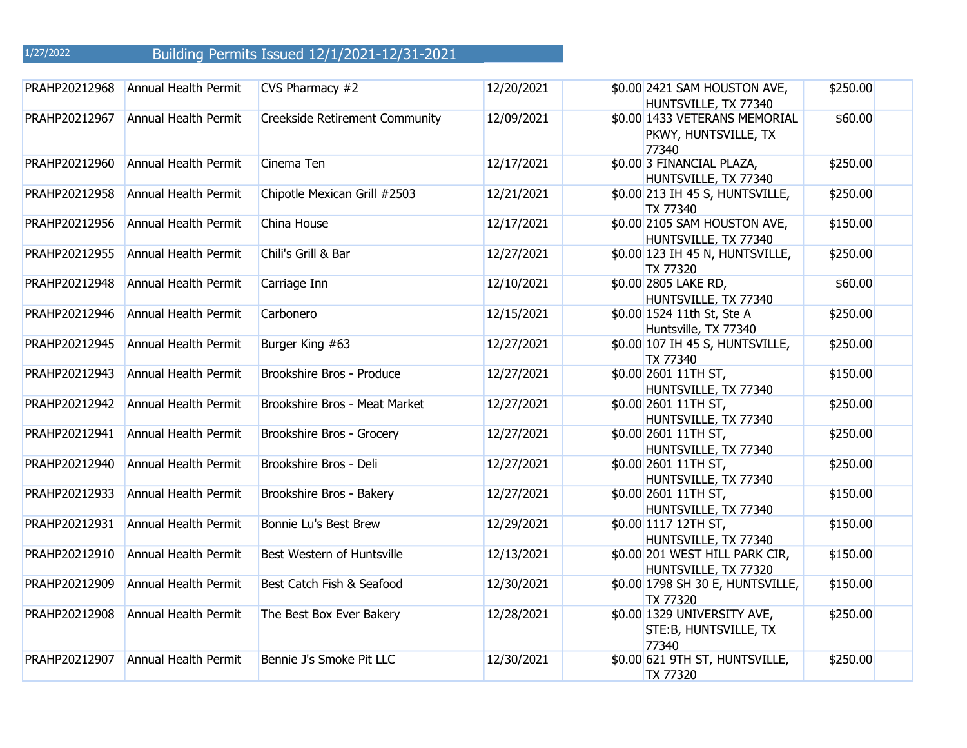| PRAHP20212968 | <b>Annual Health Permit</b> | CVS Pharmacy #2                       | 12/20/2021 | \$0.00 2421 SAM HOUSTON AVE,<br>HUNTSVILLE, TX 77340           | \$250.00 |
|---------------|-----------------------------|---------------------------------------|------------|----------------------------------------------------------------|----------|
| PRAHP20212967 | <b>Annual Health Permit</b> | <b>Creekside Retirement Community</b> | 12/09/2021 | \$0.00 1433 VETERANS MEMORIAL<br>PKWY, HUNTSVILLE, TX<br>77340 | \$60.00  |
| PRAHP20212960 | <b>Annual Health Permit</b> | Cinema Ten                            | 12/17/2021 | \$0.00 3 FINANCIAL PLAZA,<br>HUNTSVILLE, TX 77340              | \$250.00 |
| PRAHP20212958 | <b>Annual Health Permit</b> | Chipotle Mexican Grill #2503          | 12/21/2021 | \$0.00 213 IH 45 S, HUNTSVILLE,<br>TX 77340                    | \$250.00 |
| PRAHP20212956 | Annual Health Permit        | China House                           | 12/17/2021 | \$0.00 2105 SAM HOUSTON AVE,<br>HUNTSVILLE, TX 77340           | \$150.00 |
| PRAHP20212955 | Annual Health Permit        | Chili's Grill & Bar                   | 12/27/2021 | \$0.00 123 IH 45 N, HUNTSVILLE,<br><b>TX 77320</b>             | \$250.00 |
| PRAHP20212948 | Annual Health Permit        | Carriage Inn                          | 12/10/2021 | \$0.00 2805 LAKE RD,<br>HUNTSVILLE, TX 77340                   | \$60.00  |
| PRAHP20212946 | Annual Health Permit        | Carbonero                             | 12/15/2021 | \$0.00 1524 11th St, Ste A<br>Huntsville, TX 77340             | \$250.00 |
| PRAHP20212945 | <b>Annual Health Permit</b> | Burger King #63                       | 12/27/2021 | \$0.00 107 IH 45 S, HUNTSVILLE,<br><b>TX 77340</b>             | \$250.00 |
| PRAHP20212943 | <b>Annual Health Permit</b> | Brookshire Bros - Produce             | 12/27/2021 | \$0.00 2601 11TH ST,<br>HUNTSVILLE, TX 77340                   | \$150.00 |
| PRAHP20212942 | <b>Annual Health Permit</b> | Brookshire Bros - Meat Market         | 12/27/2021 | \$0.00 2601 11TH ST,<br>HUNTSVILLE, TX 77340                   | \$250.00 |
| PRAHP20212941 | Annual Health Permit        | Brookshire Bros - Grocery             | 12/27/2021 | \$0.00 2601 11TH ST,<br>HUNTSVILLE, TX 77340                   | \$250.00 |
| PRAHP20212940 | <b>Annual Health Permit</b> | Brookshire Bros - Deli                | 12/27/2021 | \$0.00 2601 11TH ST,<br>HUNTSVILLE, TX 77340                   | \$250.00 |
| PRAHP20212933 | Annual Health Permit        | Brookshire Bros - Bakery              | 12/27/2021 | \$0.00 2601 11TH ST,<br>HUNTSVILLE, TX 77340                   | \$150.00 |
| PRAHP20212931 | Annual Health Permit        | Bonnie Lu's Best Brew                 | 12/29/2021 | \$0.00 1117 12TH ST,<br>HUNTSVILLE, TX 77340                   | \$150.00 |
| PRAHP20212910 | Annual Health Permit        | Best Western of Huntsville            | 12/13/2021 | \$0.00 201 WEST HILL PARK CIR,<br>HUNTSVILLE, TX 77320         | \$150.00 |
| PRAHP20212909 | Annual Health Permit        | Best Catch Fish & Seafood             | 12/30/2021 | \$0.00 1798 SH 30 E, HUNTSVILLE,<br><b>TX 77320</b>            | \$150.00 |
| PRAHP20212908 | Annual Health Permit        | The Best Box Ever Bakery              | 12/28/2021 | \$0.00 1329 UNIVERSITY AVE,<br>STE: B, HUNTSVILLE, TX<br>77340 | \$250.00 |
| PRAHP20212907 | Annual Health Permit        | Bennie J's Smoke Pit LLC              | 12/30/2021 | \$0.00 621 9TH ST, HUNTSVILLE,<br><b>TX 77320</b>              | \$250.00 |